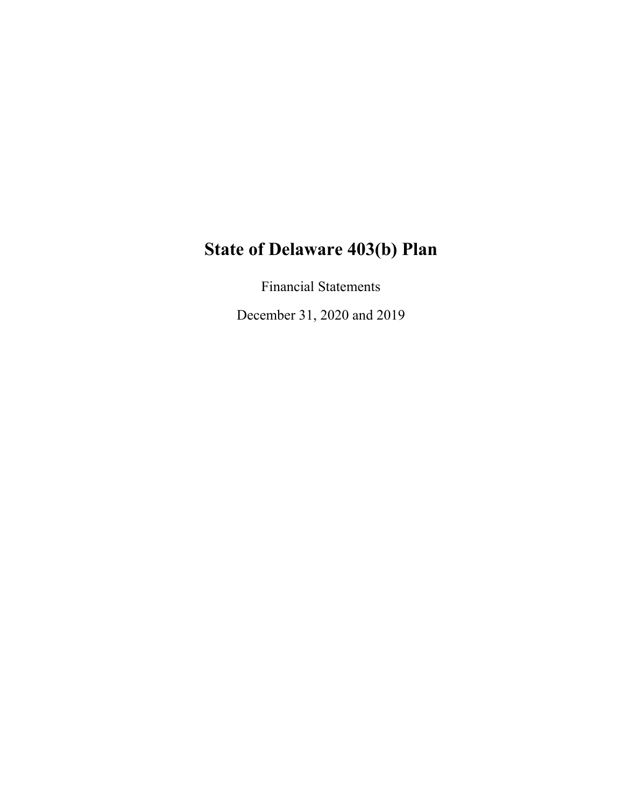Financial Statements

December 31, 2020 and 2019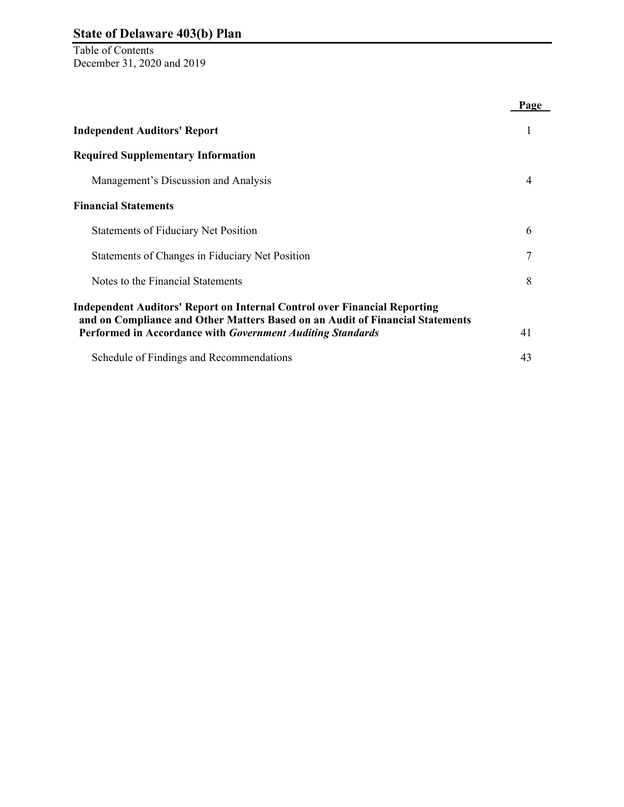Table of Contents December 31, 2020 and 2019

|                                                                                                                                             | Page |
|---------------------------------------------------------------------------------------------------------------------------------------------|------|
| <b>Independent Auditors' Report</b>                                                                                                         | 1    |
| <b>Required Supplementary Information</b>                                                                                                   |      |
| Management's Discussion and Analysis                                                                                                        | 4    |
| <b>Financial Statements</b>                                                                                                                 |      |
| <b>Statements of Fiduciary Net Position</b>                                                                                                 | 6    |
| Statements of Changes in Fiduciary Net Position                                                                                             | 7    |
| Notes to the Financial Statements                                                                                                           | 8    |
| <b>Independent Auditors' Report on Internal Control over Financial Reporting</b>                                                            |      |
| and on Compliance and Other Matters Based on an Audit of Financial Statements<br>Performed in Accordance with Government Auditing Standards | 41   |
| Schedule of Findings and Recommendations                                                                                                    | 43   |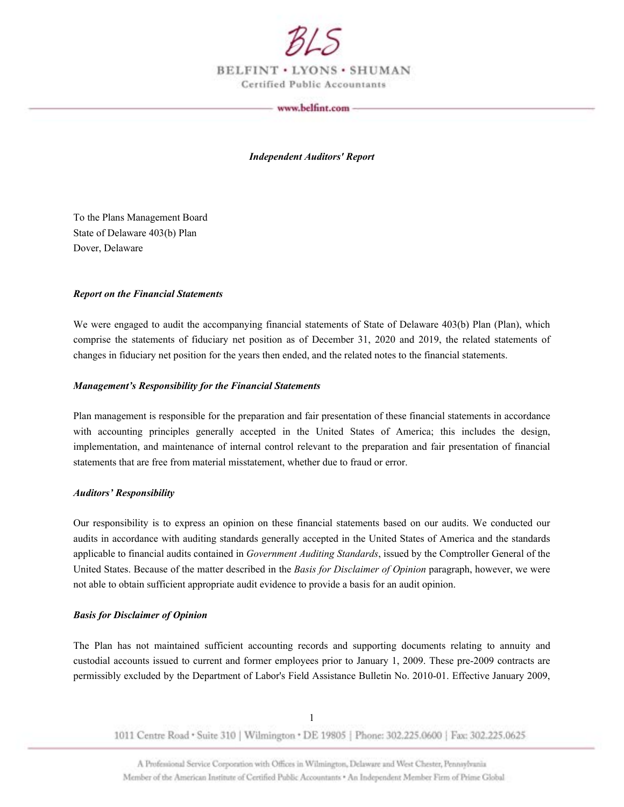

BELFINT . LYONS . SHUMAN Certified Public Accountants

#### www.belfint.com

*Independent Auditors' Report* 

To the Plans Management Board State of Delaware 403(b) Plan Dover, Delaware

#### *Report on the Financial Statements*

We were engaged to audit the accompanying financial statements of State of Delaware 403(b) Plan (Plan), which comprise the statements of fiduciary net position as of December 31, 2020 and 2019, the related statements of changes in fiduciary net position for the years then ended, and the related notes to the financial statements.

#### *Management's Responsibility for the Financial Statements*

Plan management is responsible for the preparation and fair presentation of these financial statements in accordance with accounting principles generally accepted in the United States of America; this includes the design, implementation, and maintenance of internal control relevant to the preparation and fair presentation of financial statements that are free from material misstatement, whether due to fraud or error.

#### *Auditors' Responsibility*

Our responsibility is to express an opinion on these financial statements based on our audits. We conducted our audits in accordance with auditing standards generally accepted in the United States of America and the standards applicable to financial audits contained in *Government Auditing Standards*, issued by the Comptroller General of the United States. Because of the matter described in the *Basis for Disclaimer of Opinion* paragraph, however, we were not able to obtain sufficient appropriate audit evidence to provide a basis for an audit opinion.

#### *Basis for Disclaimer of Opinion*

The Plan has not maintained sufficient accounting records and supporting documents relating to annuity and custodial accounts issued to current and former employees prior to January 1, 2009. These pre-2009 contracts are permissibly excluded by the Department of Labor's Field Assistance Bulletin No. 2010-01. Effective January 2009,

1011 Centre Road • Suite 310 | Wilmington • DE 19805 | Phone: 302,225,0600 | Fax: 302.225.0625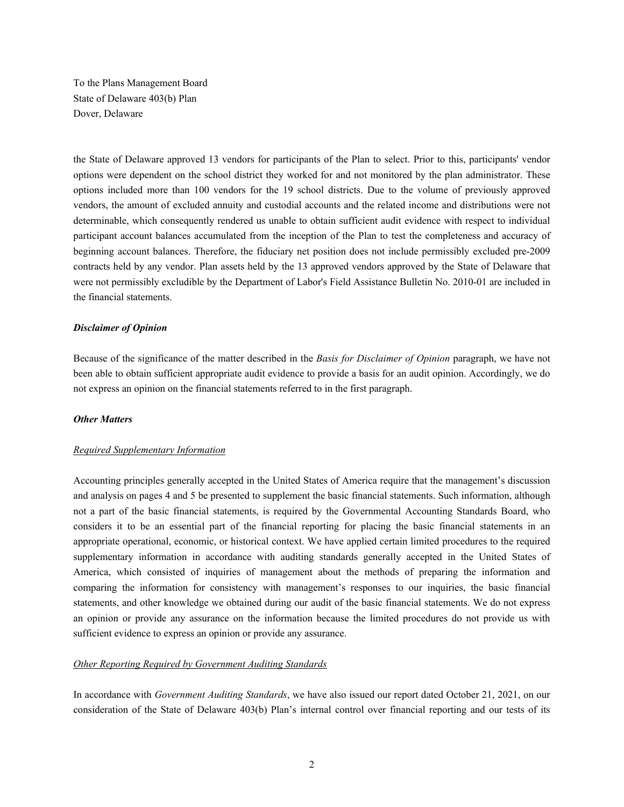To the Plans Management Board State of Delaware 403(b) Plan Dover, Delaware

the State of Delaware approved 13 vendors for participants of the Plan to select. Prior to this, participants' vendor options were dependent on the school district they worked for and not monitored by the plan administrator. These options included more than 100 vendors for the 19 school districts. Due to the volume of previously approved vendors, the amount of excluded annuity and custodial accounts and the related income and distributions were not determinable, which consequently rendered us unable to obtain sufficient audit evidence with respect to individual participant account balances accumulated from the inception of the Plan to test the completeness and accuracy of beginning account balances. Therefore, the fiduciary net position does not include permissibly excluded pre-2009 contracts held by any vendor. Plan assets held by the 13 approved vendors approved by the State of Delaware that were not permissibly excludible by the Department of Labor's Field Assistance Bulletin No. 2010-01 are included in the financial statements.

#### *Disclaimer of Opinion*

Because of the significance of the matter described in the *Basis for Disclaimer of Opinion* paragraph, we have not been able to obtain sufficient appropriate audit evidence to provide a basis for an audit opinion. Accordingly, we do not express an opinion on the financial statements referred to in the first paragraph.

#### *Other Matters*

#### *Required Supplementary Information*

Accounting principles generally accepted in the United States of America require that the management's discussion and analysis on pages 4 and 5 be presented to supplement the basic financial statements. Such information, although not a part of the basic financial statements, is required by the Governmental Accounting Standards Board, who considers it to be an essential part of the financial reporting for placing the basic financial statements in an appropriate operational, economic, or historical context. We have applied certain limited procedures to the required supplementary information in accordance with auditing standards generally accepted in the United States of America, which consisted of inquiries of management about the methods of preparing the information and comparing the information for consistency with management's responses to our inquiries, the basic financial statements, and other knowledge we obtained during our audit of the basic financial statements. We do not express an opinion or provide any assurance on the information because the limited procedures do not provide us with sufficient evidence to express an opinion or provide any assurance.

#### *Other Reporting Required by Government Auditing Standards*

In accordance with *Government Auditing Standards*, we have also issued our report dated October 21, 2021, on our consideration of the State of Delaware 403(b) Plan's internal control over financial reporting and our tests of its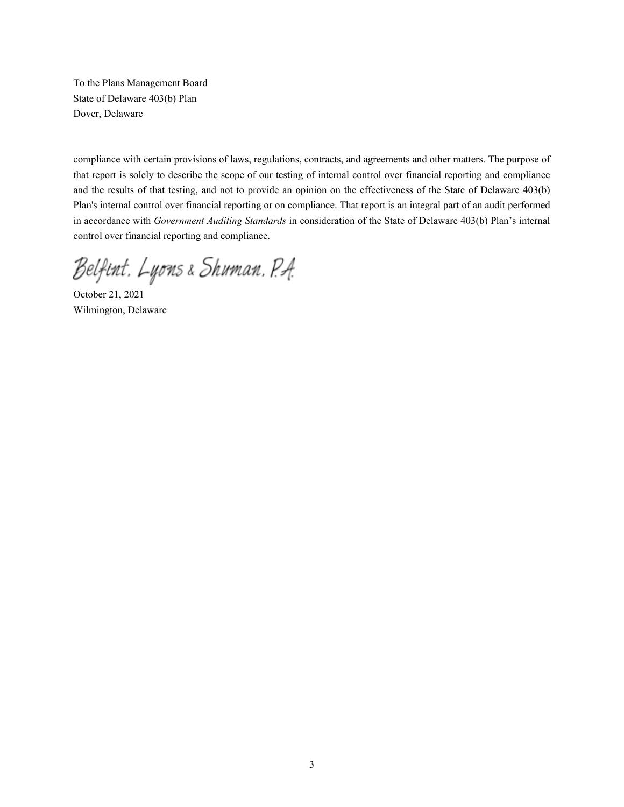To the Plans Management Board State of Delaware 403(b) Plan Dover, Delaware

compliance with certain provisions of laws, regulations, contracts, and agreements and other matters. The purpose of that report is solely to describe the scope of our testing of internal control over financial reporting and compliance and the results of that testing, and not to provide an opinion on the effectiveness of the State of Delaware 403(b) Plan's internal control over financial reporting or on compliance. That report is an integral part of an audit performed in accordance with *Government Auditing Standards* in consideration of the State of Delaware 403(b) Plan's internal control over financial reporting and compliance.

Belfint, Lyons & Shuman, P.A.

October 21, 2021 Wilmington, Delaware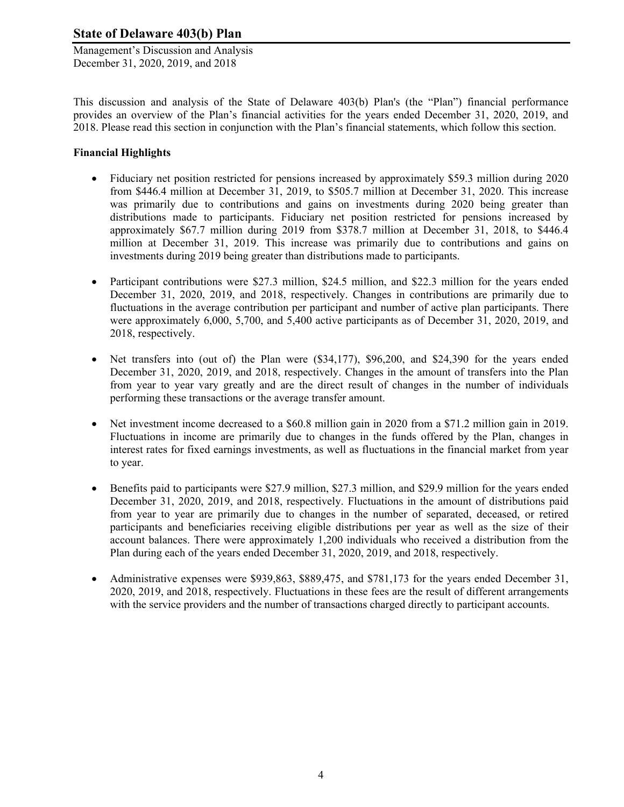Management's Discussion and Analysis December 31, 2020, 2019, and 2018

This discussion and analysis of the State of Delaware 403(b) Plan's (the "Plan") financial performance provides an overview of the Plan's financial activities for the years ended December 31, 2020, 2019, and 2018. Please read this section in conjunction with the Plan's financial statements, which follow this section.

## **Financial Highlights**

- Fiduciary net position restricted for pensions increased by approximately \$59.3 million during 2020 from \$446.4 million at December 31, 2019, to \$505.7 million at December 31, 2020. This increase was primarily due to contributions and gains on investments during 2020 being greater than distributions made to participants. Fiduciary net position restricted for pensions increased by approximately \$67.7 million during 2019 from \$378.7 million at December 31, 2018, to \$446.4 million at December 31, 2019. This increase was primarily due to contributions and gains on investments during 2019 being greater than distributions made to participants.
- Participant contributions were \$27.3 million, \$24.5 million, and \$22.3 million for the years ended December 31, 2020, 2019, and 2018, respectively. Changes in contributions are primarily due to fluctuations in the average contribution per participant and number of active plan participants. There were approximately 6,000, 5,700, and 5,400 active participants as of December 31, 2020, 2019, and 2018, respectively.
- $\bullet$  Net transfers into (out of) the Plan were (\$34,177), \$96,200, and \$24,390 for the years ended December 31, 2020, 2019, and 2018, respectively. Changes in the amount of transfers into the Plan from year to year vary greatly and are the direct result of changes in the number of individuals performing these transactions or the average transfer amount.
- Net investment income decreased to a \$60.8 million gain in 2020 from a \$71.2 million gain in 2019. Fluctuations in income are primarily due to changes in the funds offered by the Plan, changes in interest rates for fixed earnings investments, as well as fluctuations in the financial market from year to year.
- Benefits paid to participants were \$27.9 million, \$27.3 million, and \$29.9 million for the years ended December 31, 2020, 2019, and 2018, respectively. Fluctuations in the amount of distributions paid from year to year are primarily due to changes in the number of separated, deceased, or retired participants and beneficiaries receiving eligible distributions per year as well as the size of their account balances. There were approximately 1,200 individuals who received a distribution from the Plan during each of the years ended December 31, 2020, 2019, and 2018, respectively.
- Administrative expenses were \$939,863, \$889,475, and \$781,173 for the years ended December 31, 2020, 2019, and 2018, respectively. Fluctuations in these fees are the result of different arrangements with the service providers and the number of transactions charged directly to participant accounts.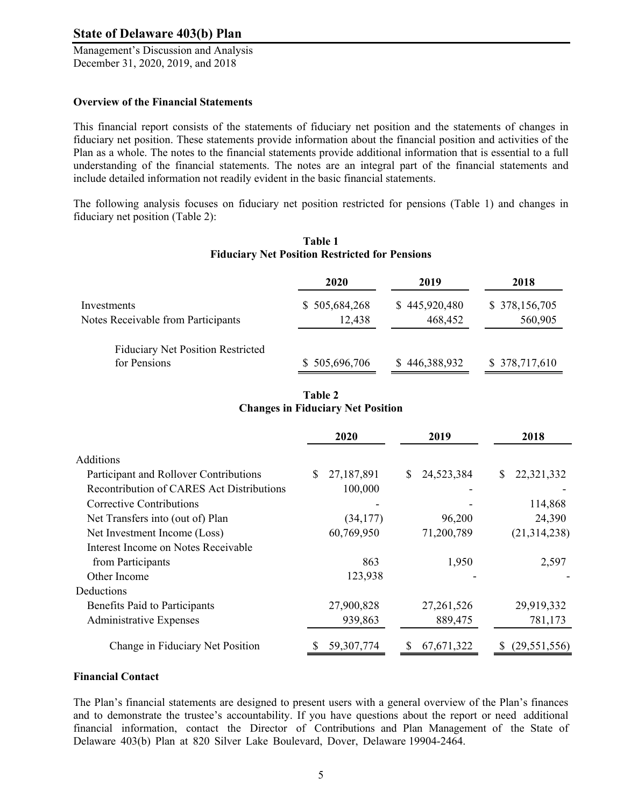Management's Discussion and Analysis December 31, 2020, 2019, and 2018

#### **Overview of the Financial Statements**

This financial report consists of the statements of fiduciary net position and the statements of changes in fiduciary net position. These statements provide information about the financial position and activities of the Plan as a whole. The notes to the financial statements provide additional information that is essential to a full understanding of the financial statements. The notes are an integral part of the financial statements and include detailed information not readily evident in the basic financial statements.

The following analysis focuses on fiduciary net position restricted for pensions (Table 1) and changes in fiduciary net position (Table 2):

|                                          | 2020          | 2019          | 2018          |
|------------------------------------------|---------------|---------------|---------------|
| Investments                              | \$505,684,268 | \$445,920,480 | \$378,156,705 |
| Notes Receivable from Participants       | 12,438        | 468,452       | 560,905       |
| <b>Fiduciary Net Position Restricted</b> |               |               |               |
| for Pensions                             | \$505,696,706 | \$446,388,932 | \$378,717,610 |

#### **Table 1 Fiduciary Net Position Restricted for Pensions**

## **Table 2 Changes in Fiduciary Net Position**

|                                           | 2020<br>2019 |              | 2018             |  |
|-------------------------------------------|--------------|--------------|------------------|--|
| Additions                                 |              |              |                  |  |
| Participant and Rollover Contributions    | 27,187,891   | 24,523,384   | \$<br>22,321,332 |  |
| Recontribution of CARES Act Distributions | 100,000      |              |                  |  |
| Corrective Contributions                  |              |              | 114,868          |  |
| Net Transfers into (out of) Plan          | (34, 177)    | 96,200       | 24,390           |  |
| Net Investment Income (Loss)              | 60,769,950   | 71,200,789   | (21, 314, 238)   |  |
| Interest Income on Notes Receivable       |              |              |                  |  |
| from Participants                         | 863          | 1,950        | 2,597            |  |
| Other Income                              | 123,938      |              |                  |  |
| Deductions                                |              |              |                  |  |
| Benefits Paid to Participants             | 27,900,828   | 27, 261, 526 | 29,919,332       |  |
| <b>Administrative Expenses</b>            | 939,863      | 889,475      | 781,173          |  |
| Change in Fiduciary Net Position          | 59, 307, 774 | 67, 671, 322 | (29, 551, 556)   |  |

#### **Financial Contact**

The Plan's financial statements are designed to present users with a general overview of the Plan's finances and to demonstrate the trustee's accountability. If you have questions about the report or need additional financial information, contact the Director of Contributions and Plan Management of the State of Delaware 403(b) Plan at 820 Silver Lake Boulevard, Dover, Delaware 19904-2464.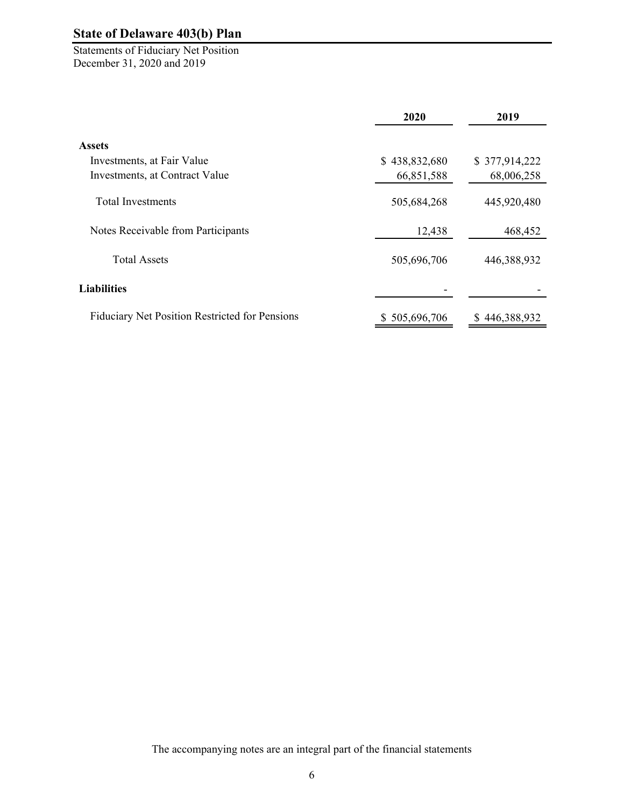Statements of Fiduciary Net Position December 31, 2020 and 2019

|                                                       | 2020          |               |
|-------------------------------------------------------|---------------|---------------|
| <b>Assets</b>                                         |               |               |
| Investments, at Fair Value                            | \$438,832,680 | \$377,914,222 |
| Investments, at Contract Value                        | 66,851,588    | 68,006,258    |
| <b>Total Investments</b>                              | 505,684,268   | 445,920,480   |
| Notes Receivable from Participants                    | 12,438        | 468,452       |
| <b>Total Assets</b>                                   | 505,696,706   | 446,388,932   |
| <b>Liabilities</b>                                    |               |               |
| <b>Fiduciary Net Position Restricted for Pensions</b> | \$505,696,706 | \$446,388,932 |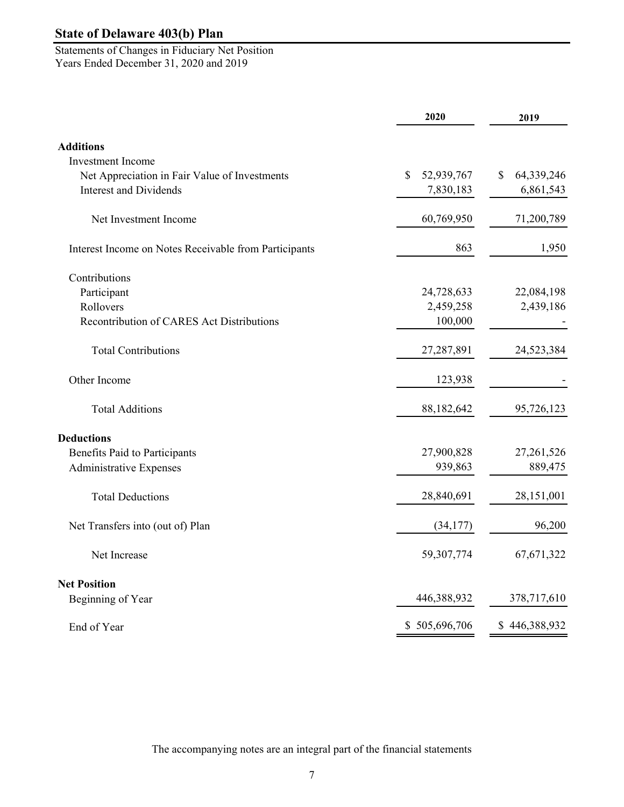Statements of Changes in Fiduciary Net Position Years Ended December 31, 2020 and 2019

|                                                       | 2020             | 2019             |
|-------------------------------------------------------|------------------|------------------|
| <b>Additions</b>                                      |                  |                  |
| <b>Investment Income</b>                              |                  |                  |
| Net Appreciation in Fair Value of Investments         | 52,939,767<br>\$ | 64,339,246<br>\$ |
| <b>Interest and Dividends</b>                         | 7,830,183        | 6,861,543        |
| Net Investment Income                                 | 60,769,950       | 71,200,789       |
| Interest Income on Notes Receivable from Participants | 863              | 1,950            |
| Contributions                                         |                  |                  |
| Participant                                           | 24,728,633       | 22,084,198       |
| Rollovers                                             | 2,459,258        | 2,439,186        |
| Recontribution of CARES Act Distributions             | 100,000          |                  |
| <b>Total Contributions</b>                            | 27,287,891       | 24,523,384       |
| Other Income                                          | 123,938          |                  |
| <b>Total Additions</b>                                | 88,182,642       | 95,726,123       |
| <b>Deductions</b>                                     |                  |                  |
| <b>Benefits Paid to Participants</b>                  | 27,900,828       | 27, 261, 526     |
| <b>Administrative Expenses</b>                        | 939,863          | 889,475          |
| <b>Total Deductions</b>                               | 28,840,691       | 28,151,001       |
| Net Transfers into (out of) Plan                      | (34, 177)        | 96,200           |
| Net Increase                                          | 59,307,774       | 67, 671, 322     |
| <b>Net Position</b>                                   |                  |                  |
| Beginning of Year                                     | 446,388,932      | 378,717,610      |
| End of Year                                           | \$505,696,706    | \$446,388,932    |

The accompanying notes are an integral part of the financial statements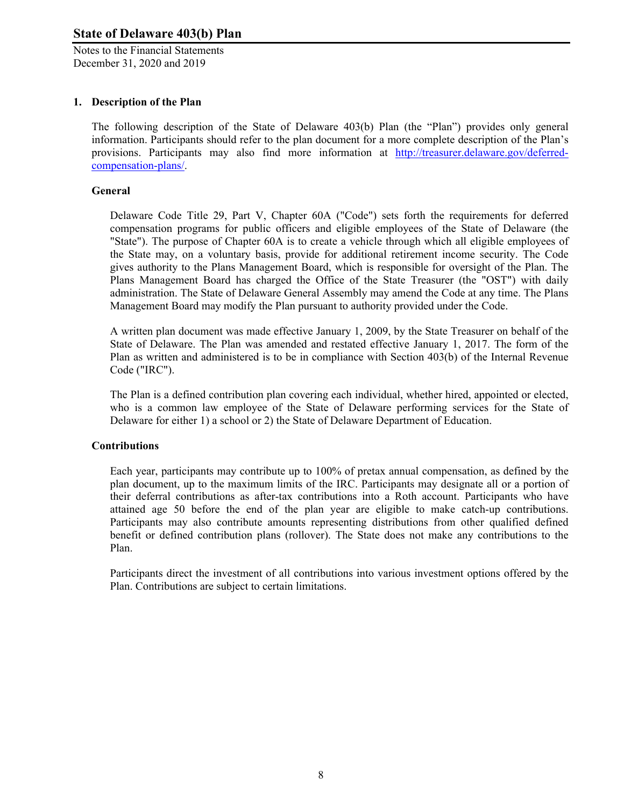Notes to the Financial Statements December 31, 2020 and 2019

### **1. Description of the Plan**

The following description of the State of Delaware 403(b) Plan (the "Plan") provides only general information. Participants should refer to the plan document for a more complete description of the Plan's provisions. Participants may also find more information at http://treasurer.delaware.gov/deferredcompensation-plans/.

#### **General**

Delaware Code Title 29, Part V, Chapter 60A ("Code") sets forth the requirements for deferred compensation programs for public officers and eligible employees of the State of Delaware (the "State"). The purpose of Chapter 60A is to create a vehicle through which all eligible employees of the State may, on a voluntary basis, provide for additional retirement income security. The Code gives authority to the Plans Management Board, which is responsible for oversight of the Plan. The Plans Management Board has charged the Office of the State Treasurer (the "OST") with daily administration. The State of Delaware General Assembly may amend the Code at any time. The Plans Management Board may modify the Plan pursuant to authority provided under the Code.

A written plan document was made effective January 1, 2009, by the State Treasurer on behalf of the State of Delaware. The Plan was amended and restated effective January 1, 2017. The form of the Plan as written and administered is to be in compliance with Section 403(b) of the Internal Revenue Code ("IRC").

The Plan is a defined contribution plan covering each individual, whether hired, appointed or elected, who is a common law employee of the State of Delaware performing services for the State of Delaware for either 1) a school or 2) the State of Delaware Department of Education.

#### **Contributions**

Each year, participants may contribute up to 100% of pretax annual compensation, as defined by the plan document, up to the maximum limits of the IRC. Participants may designate all or a portion of their deferral contributions as after-tax contributions into a Roth account. Participants who have attained age 50 before the end of the plan year are eligible to make catch-up contributions. Participants may also contribute amounts representing distributions from other qualified defined benefit or defined contribution plans (rollover). The State does not make any contributions to the Plan.

Participants direct the investment of all contributions into various investment options offered by the Plan. Contributions are subject to certain limitations.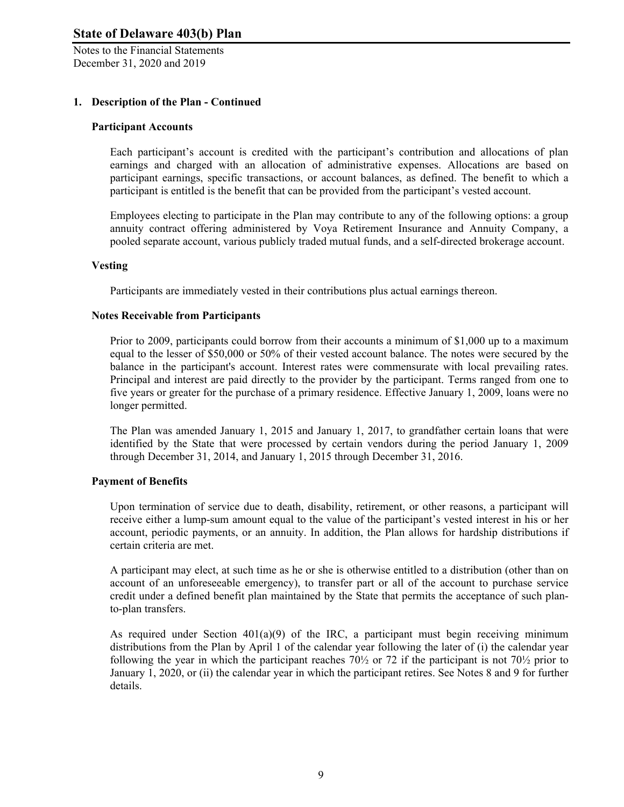Notes to the Financial Statements December 31, 2020 and 2019

#### **1. Description of the Plan - Continued**

#### **Participant Accounts**

Each participant's account is credited with the participant's contribution and allocations of plan earnings and charged with an allocation of administrative expenses. Allocations are based on participant earnings, specific transactions, or account balances, as defined. The benefit to which a participant is entitled is the benefit that can be provided from the participant's vested account.

Employees electing to participate in the Plan may contribute to any of the following options: a group annuity contract offering administered by Voya Retirement Insurance and Annuity Company, a pooled separate account, various publicly traded mutual funds, and a self-directed brokerage account.

#### **Vesting**

Participants are immediately vested in their contributions plus actual earnings thereon.

#### **Notes Receivable from Participants**

Prior to 2009, participants could borrow from their accounts a minimum of \$1,000 up to a maximum equal to the lesser of \$50,000 or 50% of their vested account balance. The notes were secured by the balance in the participant's account. Interest rates were commensurate with local prevailing rates. Principal and interest are paid directly to the provider by the participant. Terms ranged from one to five years or greater for the purchase of a primary residence. Effective January 1, 2009, loans were no longer permitted.

The Plan was amended January 1, 2015 and January 1, 2017, to grandfather certain loans that were identified by the State that were processed by certain vendors during the period January 1, 2009 through December 31, 2014, and January 1, 2015 through December 31, 2016.

#### **Payment of Benefits**

Upon termination of service due to death, disability, retirement, or other reasons, a participant will receive either a lump-sum amount equal to the value of the participant's vested interest in his or her account, periodic payments, or an annuity. In addition, the Plan allows for hardship distributions if certain criteria are met.

A participant may elect, at such time as he or she is otherwise entitled to a distribution (other than on account of an unforeseeable emergency), to transfer part or all of the account to purchase service credit under a defined benefit plan maintained by the State that permits the acceptance of such planto-plan transfers.

As required under Section  $401(a)(9)$  of the IRC, a participant must begin receiving minimum distributions from the Plan by April 1 of the calendar year following the later of (i) the calendar year following the year in which the participant reaches 70½ or 72 if the participant is not 70½ prior to January 1, 2020, or (ii) the calendar year in which the participant retires. See Notes 8 and 9 for further details.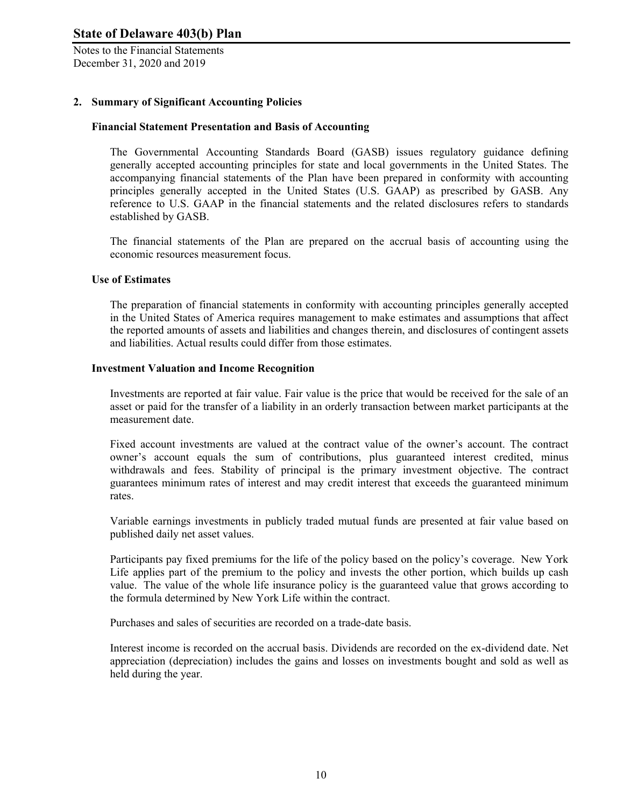Notes to the Financial Statements December 31, 2020 and 2019

### **2. Summary of Significant Accounting Policies**

#### **Financial Statement Presentation and Basis of Accounting**

The Governmental Accounting Standards Board (GASB) issues regulatory guidance defining generally accepted accounting principles for state and local governments in the United States. The accompanying financial statements of the Plan have been prepared in conformity with accounting principles generally accepted in the United States (U.S. GAAP) as prescribed by GASB. Any reference to U.S. GAAP in the financial statements and the related disclosures refers to standards established by GASB.

The financial statements of the Plan are prepared on the accrual basis of accounting using the economic resources measurement focus.

#### **Use of Estimates**

The preparation of financial statements in conformity with accounting principles generally accepted in the United States of America requires management to make estimates and assumptions that affect the reported amounts of assets and liabilities and changes therein, and disclosures of contingent assets and liabilities. Actual results could differ from those estimates.

#### **Investment Valuation and Income Recognition**

Investments are reported at fair value. Fair value is the price that would be received for the sale of an asset or paid for the transfer of a liability in an orderly transaction between market participants at the measurement date.

Fixed account investments are valued at the contract value of the owner's account. The contract owner's account equals the sum of contributions, plus guaranteed interest credited, minus withdrawals and fees. Stability of principal is the primary investment objective. The contract guarantees minimum rates of interest and may credit interest that exceeds the guaranteed minimum rates.

Variable earnings investments in publicly traded mutual funds are presented at fair value based on published daily net asset values.

Participants pay fixed premiums for the life of the policy based on the policy's coverage. New York Life applies part of the premium to the policy and invests the other portion, which builds up cash value. The value of the whole life insurance policy is the guaranteed value that grows according to the formula determined by New York Life within the contract.

Purchases and sales of securities are recorded on a trade-date basis.

Interest income is recorded on the accrual basis. Dividends are recorded on the ex-dividend date. Net appreciation (depreciation) includes the gains and losses on investments bought and sold as well as held during the year.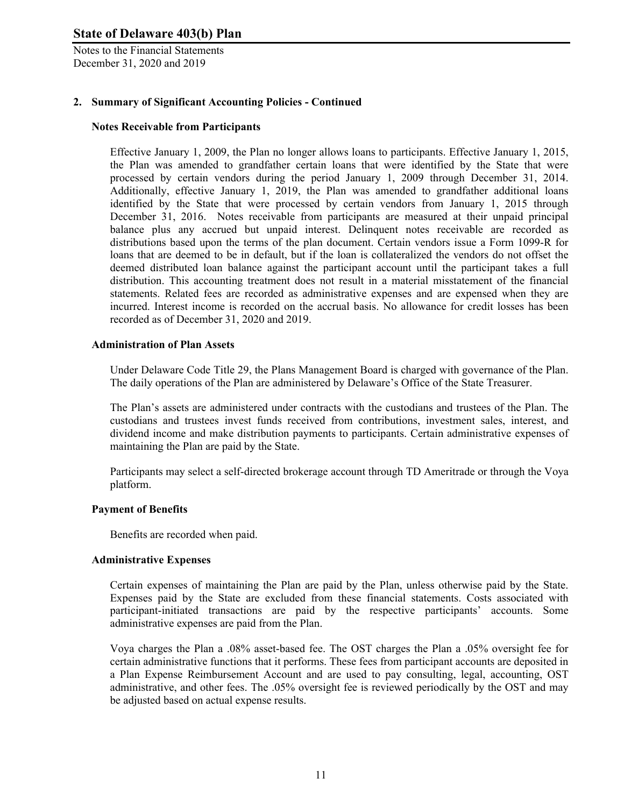Notes to the Financial Statements December 31, 2020 and 2019

## **2. Summary of Significant Accounting Policies - Continued**

#### **Notes Receivable from Participants**

Effective January 1, 2009, the Plan no longer allows loans to participants. Effective January 1, 2015, the Plan was amended to grandfather certain loans that were identified by the State that were processed by certain vendors during the period January 1, 2009 through December 31, 2014. Additionally, effective January 1, 2019, the Plan was amended to grandfather additional loans identified by the State that were processed by certain vendors from January 1, 2015 through December 31, 2016. Notes receivable from participants are measured at their unpaid principal balance plus any accrued but unpaid interest. Delinquent notes receivable are recorded as distributions based upon the terms of the plan document. Certain vendors issue a Form 1099-R for loans that are deemed to be in default, but if the loan is collateralized the vendors do not offset the deemed distributed loan balance against the participant account until the participant takes a full distribution. This accounting treatment does not result in a material misstatement of the financial statements. Related fees are recorded as administrative expenses and are expensed when they are incurred. Interest income is recorded on the accrual basis. No allowance for credit losses has been recorded as of December 31, 2020 and 2019.

#### **Administration of Plan Assets**

Under Delaware Code Title 29, the Plans Management Board is charged with governance of the Plan. The daily operations of the Plan are administered by Delaware's Office of the State Treasurer.

The Plan's assets are administered under contracts with the custodians and trustees of the Plan. The custodians and trustees invest funds received from contributions, investment sales, interest, and dividend income and make distribution payments to participants. Certain administrative expenses of maintaining the Plan are paid by the State.

Participants may select a self-directed brokerage account through TD Ameritrade or through the Voya platform.

#### **Payment of Benefits**

Benefits are recorded when paid.

#### **Administrative Expenses**

Certain expenses of maintaining the Plan are paid by the Plan, unless otherwise paid by the State. Expenses paid by the State are excluded from these financial statements. Costs associated with participant-initiated transactions are paid by the respective participants' accounts. Some administrative expenses are paid from the Plan.

Voya charges the Plan a .08% asset-based fee. The OST charges the Plan a .05% oversight fee for certain administrative functions that it performs. These fees from participant accounts are deposited in a Plan Expense Reimbursement Account and are used to pay consulting, legal, accounting, OST administrative, and other fees. The .05% oversight fee is reviewed periodically by the OST and may be adjusted based on actual expense results.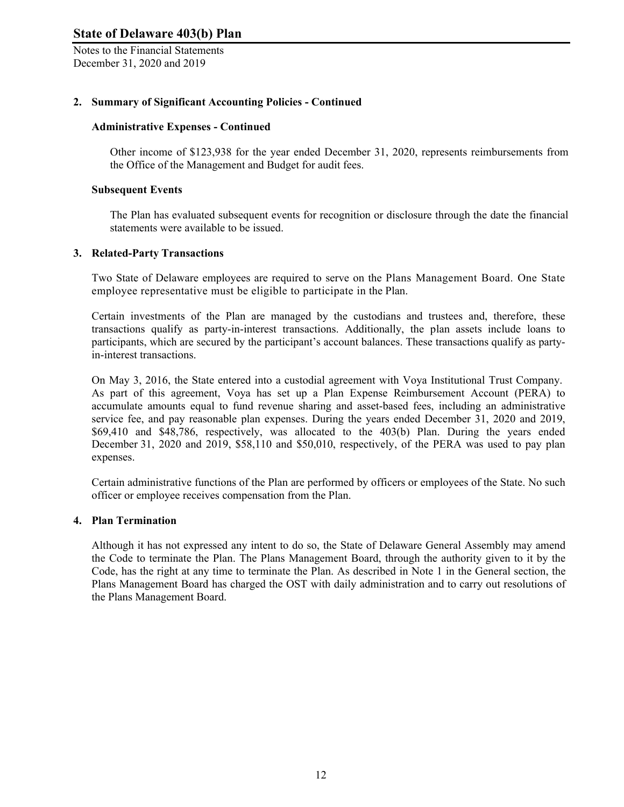Notes to the Financial Statements December 31, 2020 and 2019

### **2. Summary of Significant Accounting Policies - Continued**

#### **Administrative Expenses - Continued**

Other income of \$123,938 for the year ended December 31, 2020, represents reimbursements from the Office of the Management and Budget for audit fees.

#### **Subsequent Events**

The Plan has evaluated subsequent events for recognition or disclosure through the date the financial statements were available to be issued.

#### **3. Related-Party Transactions**

Two State of Delaware employees are required to serve on the Plans Management Board. One State employee representative must be eligible to participate in the Plan.

Certain investments of the Plan are managed by the custodians and trustees and, therefore, these transactions qualify as party-in-interest transactions. Additionally, the plan assets include loans to participants, which are secured by the participant's account balances. These transactions qualify as partyin-interest transactions.

On May 3, 2016, the State entered into a custodial agreement with Voya Institutional Trust Company. As part of this agreement, Voya has set up a Plan Expense Reimbursement Account (PERA) to accumulate amounts equal to fund revenue sharing and asset-based fees, including an administrative service fee, and pay reasonable plan expenses. During the years ended December 31, 2020 and 2019, \$69,410 and \$48,786, respectively, was allocated to the 403(b) Plan. During the years ended December 31, 2020 and 2019, \$58,110 and \$50,010, respectively, of the PERA was used to pay plan expenses.

Certain administrative functions of the Plan are performed by officers or employees of the State. No such officer or employee receives compensation from the Plan.

#### **4. Plan Termination**

Although it has not expressed any intent to do so, the State of Delaware General Assembly may amend the Code to terminate the Plan. The Plans Management Board, through the authority given to it by the Code, has the right at any time to terminate the Plan. As described in Note 1 in the General section, the Plans Management Board has charged the OST with daily administration and to carry out resolutions of the Plans Management Board.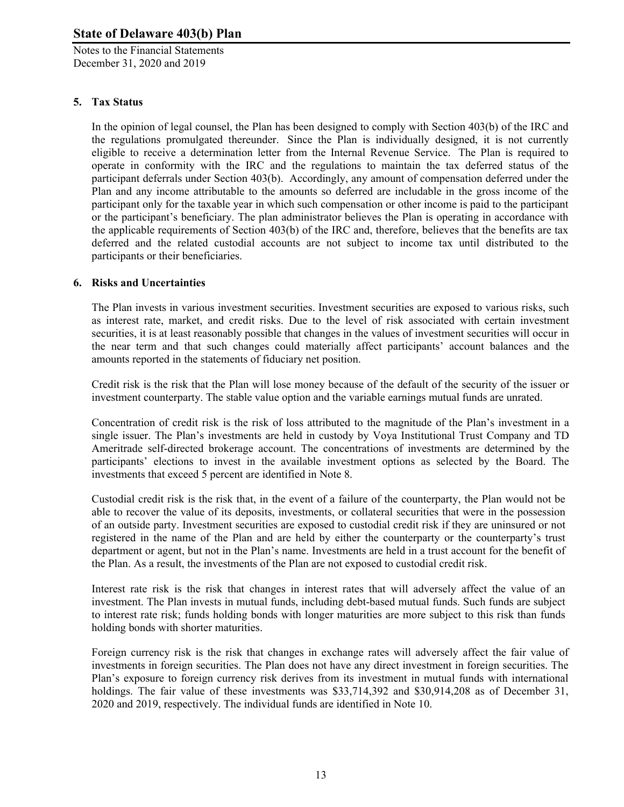Notes to the Financial Statements December 31, 2020 and 2019

## **5. Tax Status**

In the opinion of legal counsel, the Plan has been designed to comply with Section 403(b) of the IRC and the regulations promulgated thereunder. Since the Plan is individually designed, it is not currently eligible to receive a determination letter from the Internal Revenue Service. The Plan is required to operate in conformity with the IRC and the regulations to maintain the tax deferred status of the participant deferrals under Section 403(b). Accordingly, any amount of compensation deferred under the Plan and any income attributable to the amounts so deferred are includable in the gross income of the participant only for the taxable year in which such compensation or other income is paid to the participant or the participant's beneficiary. The plan administrator believes the Plan is operating in accordance with the applicable requirements of Section 403(b) of the IRC and, therefore, believes that the benefits are tax deferred and the related custodial accounts are not subject to income tax until distributed to the participants or their beneficiaries.

## **6. Risks and Uncertainties**

The Plan invests in various investment securities. Investment securities are exposed to various risks, such as interest rate, market, and credit risks. Due to the level of risk associated with certain investment securities, it is at least reasonably possible that changes in the values of investment securities will occur in the near term and that such changes could materially affect participants' account balances and the amounts reported in the statements of fiduciary net position.

Credit risk is the risk that the Plan will lose money because of the default of the security of the issuer or investment counterparty. The stable value option and the variable earnings mutual funds are unrated.

Concentration of credit risk is the risk of loss attributed to the magnitude of the Plan's investment in a single issuer. The Plan's investments are held in custody by Voya Institutional Trust Company and TD Ameritrade self-directed brokerage account. The concentrations of investments are determined by the participants' elections to invest in the available investment options as selected by the Board. The investments that exceed 5 percent are identified in Note 8.

Custodial credit risk is the risk that, in the event of a failure of the counterparty, the Plan would not be able to recover the value of its deposits, investments, or collateral securities that were in the possession of an outside party. Investment securities are exposed to custodial credit risk if they are uninsured or not registered in the name of the Plan and are held by either the counterparty or the counterparty's trust department or agent, but not in the Plan's name. Investments are held in a trust account for the benefit of the Plan. As a result, the investments of the Plan are not exposed to custodial credit risk.

Interest rate risk is the risk that changes in interest rates that will adversely affect the value of an investment. The Plan invests in mutual funds, including debt-based mutual funds. Such funds are subject to interest rate risk; funds holding bonds with longer maturities are more subject to this risk than funds holding bonds with shorter maturities.

Foreign currency risk is the risk that changes in exchange rates will adversely affect the fair value of investments in foreign securities. The Plan does not have any direct investment in foreign securities. The Plan's exposure to foreign currency risk derives from its investment in mutual funds with international holdings. The fair value of these investments was \$33,714,392 and \$30,914,208 as of December 31, 2020 and 2019, respectively. The individual funds are identified in Note 10.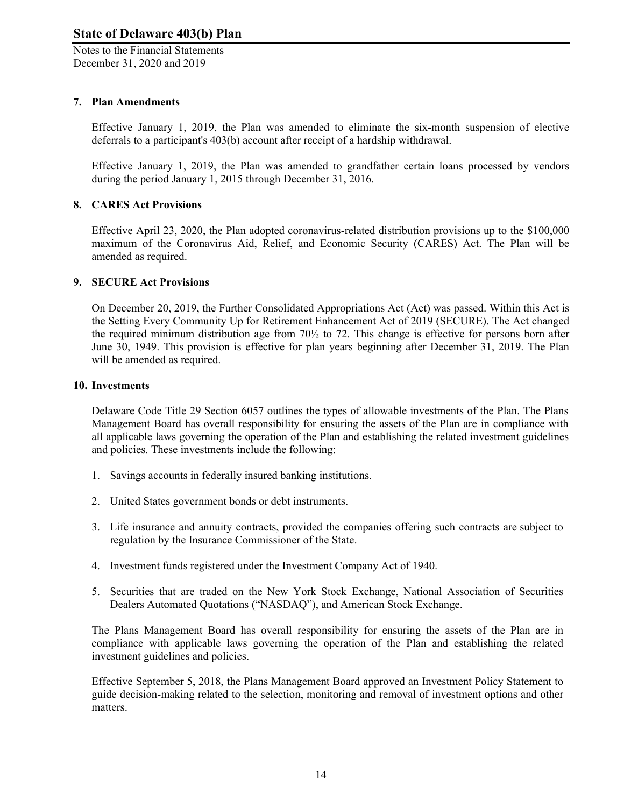Notes to the Financial Statements December 31, 2020 and 2019

## **7. Plan Amendments**

Effective January 1, 2019, the Plan was amended to eliminate the six-month suspension of elective deferrals to a participant's 403(b) account after receipt of a hardship withdrawal.

Effective January 1, 2019, the Plan was amended to grandfather certain loans processed by vendors during the period January 1, 2015 through December 31, 2016.

## **8. CARES Act Provisions**

Effective April 23, 2020, the Plan adopted coronavirus-related distribution provisions up to the \$100,000 maximum of the Coronavirus Aid, Relief, and Economic Security (CARES) Act. The Plan will be amended as required.

### **9. SECURE Act Provisions**

On December 20, 2019, the Further Consolidated Appropriations Act (Act) was passed. Within this Act is the Setting Every Community Up for Retirement Enhancement Act of 2019 (SECURE). The Act changed the required minimum distribution age from 70½ to 72. This change is effective for persons born after June 30, 1949. This provision is effective for plan years beginning after December 31, 2019. The Plan will be amended as required.

#### **10. Investments**

Delaware Code Title 29 Section 6057 outlines the types of allowable investments of the Plan. The Plans Management Board has overall responsibility for ensuring the assets of the Plan are in compliance with all applicable laws governing the operation of the Plan and establishing the related investment guidelines and policies. These investments include the following:

- 1. Savings accounts in federally insured banking institutions.
- 2. United States government bonds or debt instruments.
- 3. Life insurance and annuity contracts, provided the companies offering such contracts are subject to regulation by the Insurance Commissioner of the State.
- 4. Investment funds registered under the Investment Company Act of 1940.
- 5. Securities that are traded on the New York Stock Exchange, National Association of Securities Dealers Automated Quotations ("NASDAQ"), and American Stock Exchange.

The Plans Management Board has overall responsibility for ensuring the assets of the Plan are in compliance with applicable laws governing the operation of the Plan and establishing the related investment guidelines and policies.

Effective September 5, 2018, the Plans Management Board approved an Investment Policy Statement to guide decision-making related to the selection, monitoring and removal of investment options and other matters.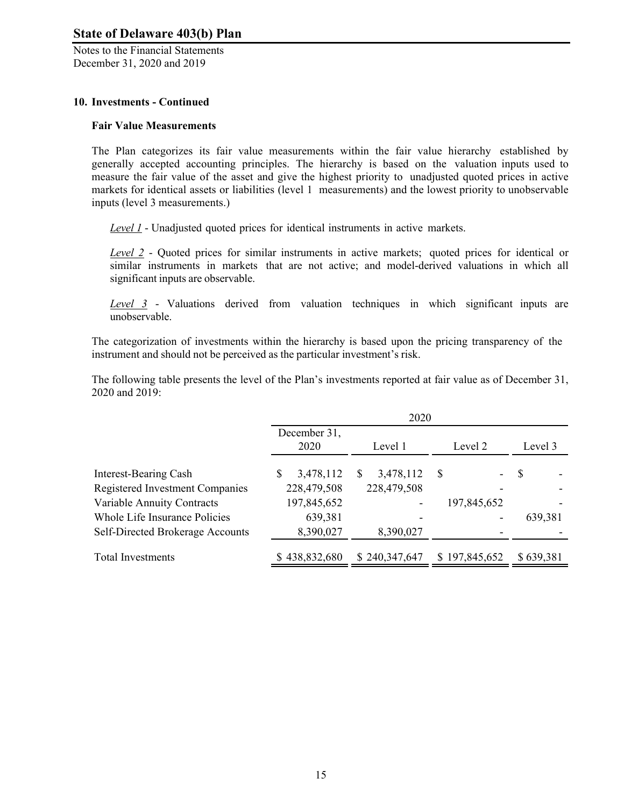Notes to the Financial Statements December 31, 2020 and 2019

## **10. Investments - Continued**

#### **Fair Value Measurements**

The Plan categorizes its fair value measurements within the fair value hierarchy established by generally accepted accounting principles. The hierarchy is based on the valuation inputs used to measure the fair value of the asset and give the highest priority to unadjusted quoted prices in active markets for identical assets or liabilities (level 1 measurements) and the lowest priority to unobservable inputs (level 3 measurements.)

*Level 1* - Unadjusted quoted prices for identical instruments in active markets.

*Level 2* - Quoted prices for similar instruments in active markets; quoted prices for identical or similar instruments in markets that are not active; and model-derived valuations in which all significant inputs are observable.

*Level 3* - Valuations derived from valuation techniques in which significant inputs are unobservable.

The categorization of investments within the hierarchy is based upon the pricing transparency of the instrument and should not be perceived as the particular investment's risk.

The following table presents the level of the Plan's investments reported at fair value as of December 31, 2020 and 2019:

|                                  | 2020                 |                |               |           |  |
|----------------------------------|----------------------|----------------|---------------|-----------|--|
|                                  | December 31,<br>2020 | Level 1        | Level 2       | Level 3   |  |
| Interest-Bearing Cash            | 3,478,112<br>S       | 3,478,112<br>S | S<br>-        | -S        |  |
| Registered Investment Companies  | 228,479,508          | 228,479,508    |               |           |  |
| Variable Annuity Contracts       | 197,845,652          |                | 197,845,652   |           |  |
| Whole Life Insurance Policies    | 639,381              |                |               | 639,381   |  |
| Self-Directed Brokerage Accounts | 8,390,027            | 8,390,027      |               |           |  |
| <b>Total Investments</b>         | \$438,832,680        | \$240,347,647  | \$197,845,652 | \$639,381 |  |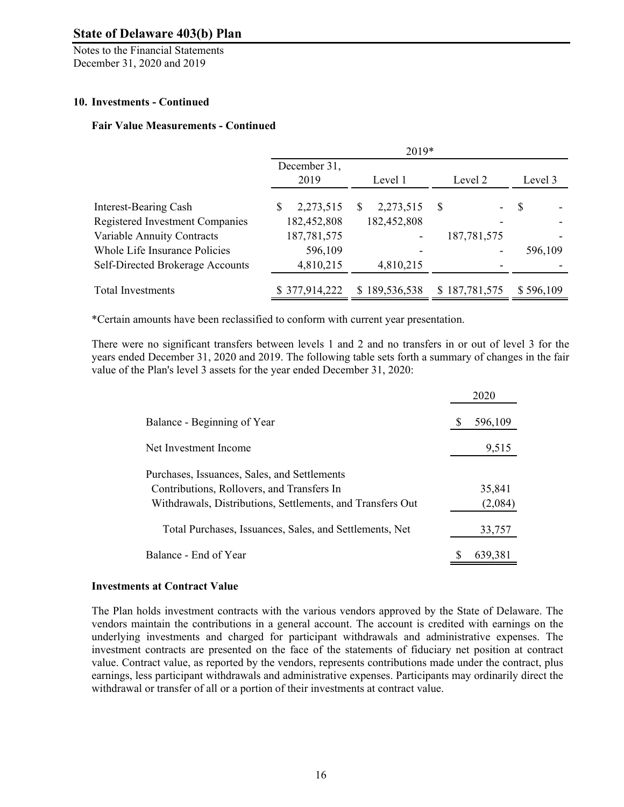Notes to the Financial Statements December 31, 2020 and 2019

## **10. Investments - Continued**

### **Fair Value Measurements - Continued**

|                                  | $2019*$        |                       |               |           |
|----------------------------------|----------------|-----------------------|---------------|-----------|
|                                  | December 31,   |                       |               |           |
|                                  | 2019           | Level 1               | Level 2       | Level 3   |
| Interest-Bearing Cash            | 2,273,515<br>S | 2,273,515<br><b>S</b> | S<br>-        | S         |
| Registered Investment Companies  | 182,452,808    | 182,452,808           |               |           |
| Variable Annuity Contracts       | 187,781,575    |                       | 187,781,575   |           |
| Whole Life Insurance Policies    | 596,109        |                       |               | 596,109   |
| Self-Directed Brokerage Accounts | 4,810,215      | 4,810,215             |               |           |
| <b>Total Investments</b>         | \$377,914,222  | \$189,536,538         | \$187,781,575 | \$596,109 |

\*Certain amounts have been reclassified to conform with current year presentation.

There were no significant transfers between levels 1 and 2 and no transfers in or out of level 3 for the years ended December 31, 2020 and 2019. The following table sets forth a summary of changes in the fair value of the Plan's level 3 assets for the year ended December 31, 2020:

|                                                            | 2020    |
|------------------------------------------------------------|---------|
| Balance - Beginning of Year                                | 596,109 |
| Net Investment Income                                      | 9,515   |
| Purchases, Issuances, Sales, and Settlements               |         |
| Contributions, Rollovers, and Transfers In                 | 35,841  |
| Withdrawals, Distributions, Settlements, and Transfers Out | (2,084) |
| Total Purchases, Issuances, Sales, and Settlements, Net    | 33,757  |
| Balance - End of Year                                      | 639,381 |

#### **Investments at Contract Value**

The Plan holds investment contracts with the various vendors approved by the State of Delaware. The vendors maintain the contributions in a general account. The account is credited with earnings on the underlying investments and charged for participant withdrawals and administrative expenses. The investment contracts are presented on the face of the statements of fiduciary net position at contract value. Contract value, as reported by the vendors, represents contributions made under the contract, plus earnings, less participant withdrawals and administrative expenses. Participants may ordinarily direct the withdrawal or transfer of all or a portion of their investments at contract value.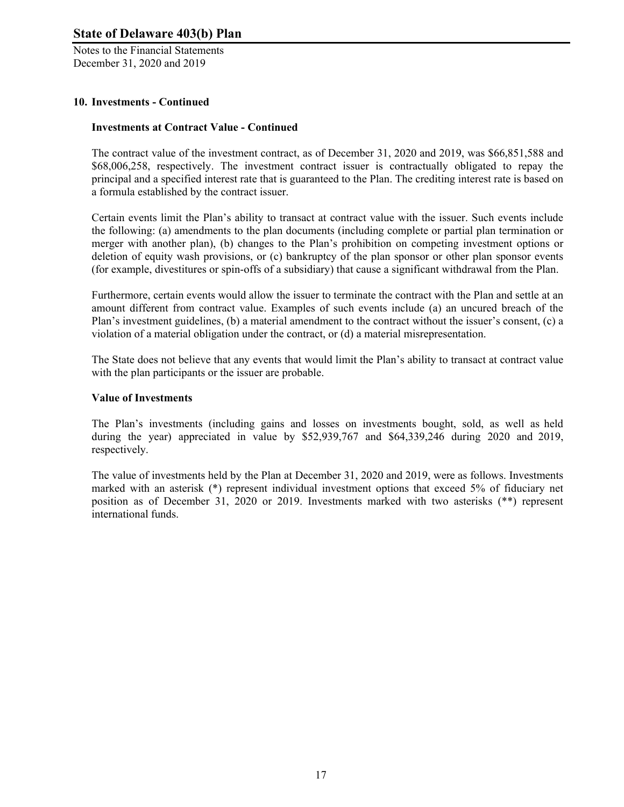Notes to the Financial Statements December 31, 2020 and 2019

## **10. Investments - Continued**

#### **Investments at Contract Value - Continued**

The contract value of the investment contract, as of December 31, 2020 and 2019, was \$66,851,588 and \$68,006,258, respectively. The investment contract issuer is contractually obligated to repay the principal and a specified interest rate that is guaranteed to the Plan. The crediting interest rate is based on a formula established by the contract issuer.

Certain events limit the Plan's ability to transact at contract value with the issuer. Such events include the following: (a) amendments to the plan documents (including complete or partial plan termination or merger with another plan), (b) changes to the Plan's prohibition on competing investment options or deletion of equity wash provisions, or (c) bankruptcy of the plan sponsor or other plan sponsor events (for example, divestitures or spin-offs of a subsidiary) that cause a significant withdrawal from the Plan.

Furthermore, certain events would allow the issuer to terminate the contract with the Plan and settle at an amount different from contract value. Examples of such events include (a) an uncured breach of the Plan's investment guidelines, (b) a material amendment to the contract without the issuer's consent, (c) a violation of a material obligation under the contract, or (d) a material misrepresentation.

The State does not believe that any events that would limit the Plan's ability to transact at contract value with the plan participants or the issuer are probable.

#### **Value of Investments**

The Plan's investments (including gains and losses on investments bought, sold, as well as held during the year) appreciated in value by \$52,939,767 and \$64,339,246 during 2020 and 2019, respectively.

The value of investments held by the Plan at December 31, 2020 and 2019, were as follows. Investments marked with an asterisk (\*) represent individual investment options that exceed 5% of fiduciary net position as of December 31, 2020 or 2019. Investments marked with two asterisks (\*\*) represent international funds.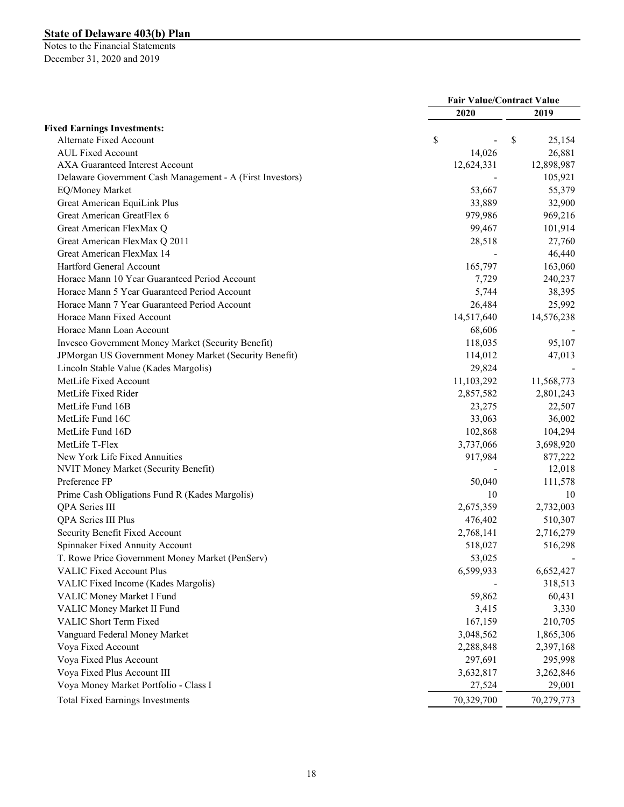|                                                           | <b>Fair Value/Contract Value</b> |              |  |
|-----------------------------------------------------------|----------------------------------|--------------|--|
|                                                           | 2020                             | 2019         |  |
| <b>Fixed Earnings Investments:</b>                        |                                  |              |  |
| Alternate Fixed Account                                   | \$                               | \$<br>25,154 |  |
| <b>AUL Fixed Account</b>                                  | 14,026                           | 26,881       |  |
| <b>AXA Guaranteed Interest Account</b>                    | 12,624,331                       | 12,898,987   |  |
| Delaware Government Cash Management - A (First Investors) |                                  | 105,921      |  |
| EQ/Money Market                                           | 53,667                           | 55,379       |  |
| Great American EquiLink Plus                              | 33,889                           | 32,900       |  |
| Great American GreatFlex 6                                | 979,986                          | 969,216      |  |
| Great American FlexMax Q                                  | 99,467                           | 101,914      |  |
| Great American FlexMax Q 2011                             | 28,518                           | 27,760       |  |
| Great American FlexMax 14                                 |                                  | 46,440       |  |
| Hartford General Account                                  | 165,797                          | 163,060      |  |
| Horace Mann 10 Year Guaranteed Period Account             | 7,729                            | 240,237      |  |
| Horace Mann 5 Year Guaranteed Period Account              | 5,744                            | 38,395       |  |
| Horace Mann 7 Year Guaranteed Period Account              | 26,484                           | 25,992       |  |
| Horace Mann Fixed Account                                 | 14,517,640                       | 14,576,238   |  |
| Horace Mann Loan Account                                  | 68,606                           |              |  |
| Invesco Government Money Market (Security Benefit)        | 118,035                          | 95,107       |  |
| JPMorgan US Government Money Market (Security Benefit)    | 114,012                          | 47,013       |  |
| Lincoln Stable Value (Kades Margolis)                     | 29,824                           |              |  |
| MetLife Fixed Account                                     | 11,103,292                       | 11,568,773   |  |
| MetLife Fixed Rider                                       | 2,857,582                        | 2,801,243    |  |
| MetLife Fund 16B                                          | 23,275                           | 22,507       |  |
| MetLife Fund 16C                                          | 33,063                           | 36,002       |  |
| MetLife Fund 16D                                          | 102,868                          | 104,294      |  |
| MetLife T-Flex                                            | 3,737,066                        | 3,698,920    |  |
| New York Life Fixed Annuities                             | 917,984                          | 877,222      |  |
| NVIT Money Market (Security Benefit)                      |                                  | 12,018       |  |
| Preference FP                                             | 50,040                           | 111,578      |  |
| Prime Cash Obligations Fund R (Kades Margolis)            | 10                               | 10           |  |
| <b>QPA</b> Series III                                     | 2,675,359                        | 2,732,003    |  |
| QPA Series III Plus                                       | 476,402                          | 510,307      |  |
| Security Benefit Fixed Account                            | 2,768,141                        | 2,716,279    |  |
| Spinnaker Fixed Annuity Account                           | 518,027                          | 516,298      |  |
| T. Rowe Price Government Money Market (PenServ)           | 53,025                           |              |  |
| <b>VALIC Fixed Account Plus</b>                           | 6,599,933                        | 6,652,427    |  |
| VALIC Fixed Income (Kades Margolis)                       |                                  | 318,513      |  |
| VALIC Money Market I Fund                                 | 59,862                           | 60,431       |  |
| VALIC Money Market II Fund                                | 3,415                            | 3,330        |  |
| VALIC Short Term Fixed                                    | 167,159                          | 210,705      |  |
| Vanguard Federal Money Market                             | 3,048,562                        | 1,865,306    |  |
| Voya Fixed Account                                        | 2,288,848                        | 2,397,168    |  |
| Voya Fixed Plus Account                                   | 297,691                          | 295,998      |  |
| Voya Fixed Plus Account III                               | 3,632,817                        | 3,262,846    |  |
| Voya Money Market Portfolio - Class I                     | 27,524                           | 29,001       |  |
| <b>Total Fixed Earnings Investments</b>                   | 70,329,700                       | 70,279,773   |  |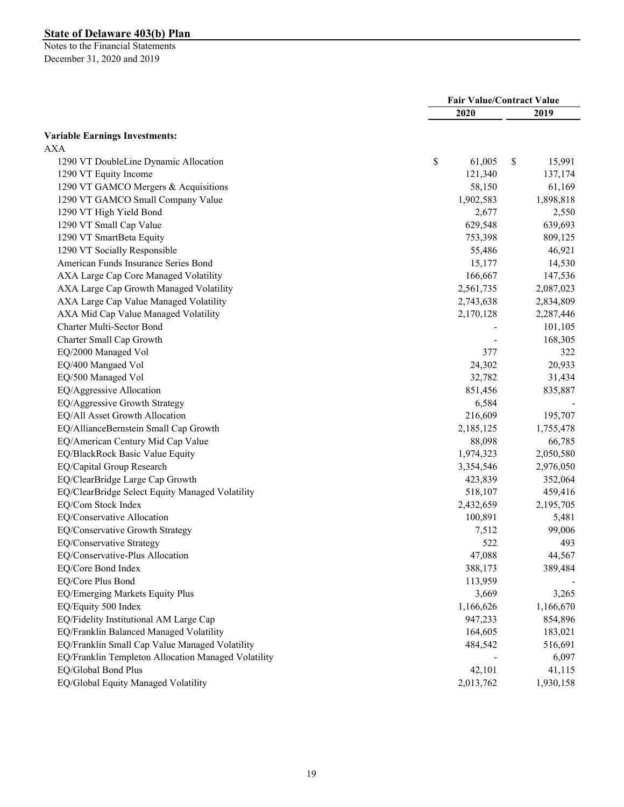|                                                     | <b>Fair Value/Contract Value</b> |              |           |
|-----------------------------------------------------|----------------------------------|--------------|-----------|
|                                                     | 2020                             |              | 2019      |
| <b>Variable Earnings Investments:</b>               |                                  |              |           |
| <b>AXA</b>                                          |                                  |              |           |
| 1290 VT DoubleLine Dynamic Allocation               | \$                               | \$<br>61,005 | 15,991    |
| 1290 VT Equity Income                               |                                  | 121,340      | 137,174   |
| 1290 VT GAMCO Mergers & Acquisitions                |                                  | 58,150       | 61,169    |
| 1290 VT GAMCO Small Company Value                   |                                  | 1,902,583    | 1,898,818 |
| 1290 VT High Yield Bond                             |                                  | 2,677        | 2,550     |
| 1290 VT Small Cap Value                             |                                  | 629,548      | 639,693   |
| 1290 VT SmartBeta Equity                            |                                  | 753,398      | 809,125   |
| 1290 VT Socially Responsible                        |                                  | 55,486       | 46,921    |
| American Funds Insurance Series Bond                |                                  | 15,177       | 14,530    |
| AXA Large Cap Core Managed Volatility               |                                  | 166,667      | 147,536   |
| AXA Large Cap Growth Managed Volatility             |                                  | 2,561,735    | 2,087,023 |
| AXA Large Cap Value Managed Volatility              |                                  | 2,743,638    | 2,834,809 |
| AXA Mid Cap Value Managed Volatility                |                                  | 2,170,128    | 2,287,446 |
| Charter Multi-Sector Bond                           |                                  |              | 101,105   |
| Charter Small Cap Growth                            |                                  |              | 168,305   |
| EQ/2000 Managed Vol                                 |                                  | 377          | 322       |
| EQ/400 Mangaed Vol                                  |                                  | 24,302       | 20,933    |
| EQ/500 Managed Vol                                  |                                  | 32,782       | 31,434    |
| EQ/Aggressive Allocation                            |                                  | 851,456      | 835,887   |
| EQ/Aggressive Growth Strategy                       |                                  | 6,584        |           |
| EQ/All Asset Growth Allocation                      |                                  | 216,609      | 195,707   |
| EQ/AllianceBernstein Small Cap Growth               |                                  | 2,185,125    | 1,755,478 |
| EQ/American Century Mid Cap Value                   |                                  | 88,098       | 66,785    |
| EQ/BlackRock Basic Value Equity                     |                                  | 1,974,323    | 2,050,580 |
| EQ/Capital Group Research                           |                                  | 3,354,546    | 2,976,050 |
| EQ/ClearBridge Large Cap Growth                     |                                  | 423,839      | 352,064   |
| EQ/ClearBridge Select Equity Managed Volatility     |                                  | 518,107      | 459,416   |
| EQ/Com Stock Index                                  |                                  | 2,432,659    | 2,195,705 |
| EQ/Conservative Allocation                          |                                  | 100,891      | 5,481     |
| EQ/Conservative Growth Strategy                     |                                  | 7,512        | 99,006    |
| EQ/Conservative Strategy                            |                                  | 522          | 493       |
| EQ/Conservative-Plus Allocation                     |                                  | 47,088       | 44,567    |
| EQ/Core Bond Index                                  |                                  | 388,173      | 389,484   |
| EQ/Core Plus Bond                                   |                                  | 113,959      |           |
| EQ/Emerging Markets Equity Plus                     |                                  | 3,669        | 3,265     |
| EQ/Equity 500 Index                                 |                                  | 1,166,626    | 1,166,670 |
| EQ/Fidelity Institutional AM Large Cap              |                                  | 947,233      | 854,896   |
| EQ/Franklin Balanced Managed Volatility             |                                  | 164,605      | 183,021   |
| EQ/Franklin Small Cap Value Managed Volatility      |                                  | 484,542      | 516,691   |
| EQ/Franklin Templeton Allocation Managed Volatility |                                  |              | 6,097     |
| EQ/Global Bond Plus                                 |                                  | 42,101       | 41,115    |
| EQ/Global Equity Managed Volatility                 |                                  | 2,013,762    | 1,930,158 |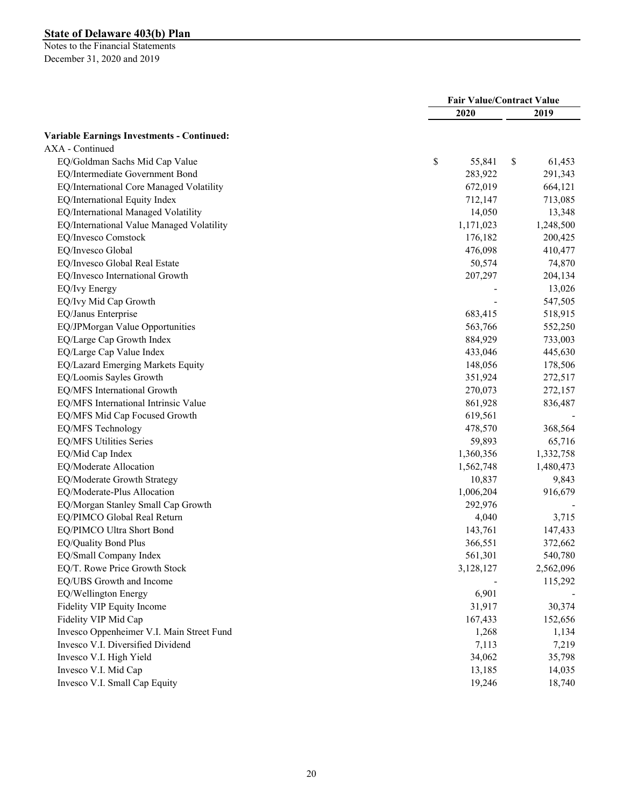|                                                   | <b>Fair Value/Contract Value</b> |           |    |           |
|---------------------------------------------------|----------------------------------|-----------|----|-----------|
|                                                   |                                  | 2020      |    | 2019      |
| <b>Variable Earnings Investments - Continued:</b> |                                  |           |    |           |
| AXA - Continued                                   |                                  |           |    |           |
| EQ/Goldman Sachs Mid Cap Value                    | \$                               | 55,841    | \$ | 61,453    |
| EQ/Intermediate Government Bond                   |                                  | 283,922   |    | 291,343   |
| EQ/International Core Managed Volatility          |                                  | 672,019   |    | 664,121   |
| EQ/International Equity Index                     |                                  | 712,147   |    | 713,085   |
| EQ/International Managed Volatility               |                                  | 14,050    |    | 13,348    |
| EQ/International Value Managed Volatility         |                                  | 1,171,023 |    | 1,248,500 |
| EQ/Invesco Comstock                               |                                  | 176,182   |    | 200,425   |
| EQ/Invesco Global                                 |                                  | 476,098   |    | 410,477   |
| EQ/Invesco Global Real Estate                     |                                  | 50,574    |    | 74,870    |
| EQ/Invesco International Growth                   |                                  | 207,297   |    | 204,134   |
| EQ/Ivy Energy                                     |                                  |           |    | 13,026    |
| EQ/Ivy Mid Cap Growth                             |                                  |           |    | 547,505   |
| EQ/Janus Enterprise                               |                                  | 683,415   |    | 518,915   |
| EQ/JPMorgan Value Opportunities                   |                                  | 563,766   |    | 552,250   |
| EQ/Large Cap Growth Index                         |                                  | 884,929   |    | 733,003   |
| EQ/Large Cap Value Index                          |                                  | 433,046   |    | 445,630   |
| EQ/Lazard Emerging Markets Equity                 |                                  | 148,056   |    | 178,506   |
| EQ/Loomis Sayles Growth                           |                                  | 351,924   |    | 272,517   |
| EQ/MFS International Growth                       |                                  | 270,073   |    | 272,157   |
| EQ/MFS International Intrinsic Value              |                                  | 861,928   |    | 836,487   |
| EQ/MFS Mid Cap Focused Growth                     |                                  | 619,561   |    |           |
| EQ/MFS Technology                                 |                                  | 478,570   |    | 368,564   |
| EQ/MFS Utilities Series                           |                                  | 59,893    |    | 65,716    |
| EQ/Mid Cap Index                                  |                                  | 1,360,356 |    | 1,332,758 |
| EQ/Moderate Allocation                            |                                  | 1,562,748 |    | 1,480,473 |
| EQ/Moderate Growth Strategy                       |                                  | 10,837    |    | 9,843     |
| EQ/Moderate-Plus Allocation                       |                                  | 1,006,204 |    | 916,679   |
| EQ/Morgan Stanley Small Cap Growth                |                                  | 292,976   |    |           |
| EQ/PIMCO Global Real Return                       |                                  | 4,040     |    | 3,715     |
| EQ/PIMCO Ultra Short Bond                         |                                  | 143,761   |    | 147,433   |
| EQ/Quality Bond Plus                              |                                  | 366,551   |    | 372,662   |
| EQ/Small Company Index                            |                                  | 561,301   |    | 540,780   |
| EQ/T. Rowe Price Growth Stock                     |                                  | 3,128,127 |    | 2,562,096 |
| EQ/UBS Growth and Income                          |                                  |           |    | 115,292   |
| EQ/Wellington Energy                              |                                  | 6,901     |    |           |
| Fidelity VIP Equity Income                        |                                  | 31,917    |    | 30,374    |
| Fidelity VIP Mid Cap                              |                                  | 167,433   |    | 152,656   |
| Invesco Oppenheimer V.I. Main Street Fund         |                                  | 1,268     |    | 1,134     |
| Invesco V.I. Diversified Dividend                 |                                  | 7,113     |    | 7,219     |
| Invesco V.I. High Yield                           |                                  | 34,062    |    | 35,798    |
| Invesco V.I. Mid Cap                              |                                  | 13,185    |    | 14,035    |
| Invesco V.I. Small Cap Equity                     |                                  | 19,246    |    | 18,740    |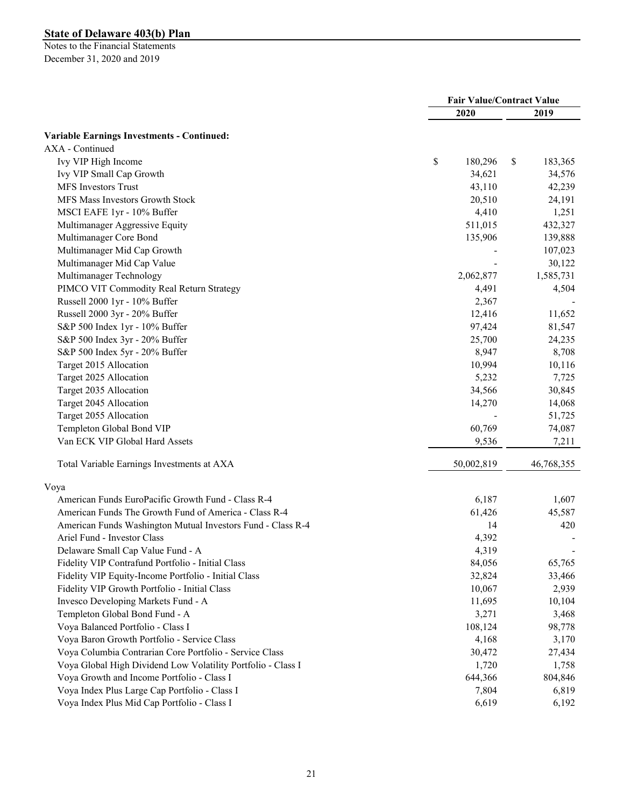|                                                              | <b>Fair Value/Contract Value</b> |            |    |            |
|--------------------------------------------------------------|----------------------------------|------------|----|------------|
|                                                              |                                  | 2020       |    | 2019       |
| <b>Variable Earnings Investments - Continued:</b>            |                                  |            |    |            |
| AXA - Continued                                              |                                  |            |    |            |
| Ivy VIP High Income                                          | \$                               | 180,296    | \$ | 183,365    |
| Ivy VIP Small Cap Growth                                     |                                  | 34,621     |    | 34,576     |
| MFS Investors Trust                                          |                                  | 43,110     |    | 42,239     |
| MFS Mass Investors Growth Stock                              |                                  | 20,510     |    | 24,191     |
| MSCI EAFE 1yr - 10% Buffer                                   |                                  | 4,410      |    | 1,251      |
| Multimanager Aggressive Equity                               |                                  | 511,015    |    | 432,327    |
| Multimanager Core Bond                                       |                                  | 135,906    |    | 139,888    |
| Multimanager Mid Cap Growth                                  |                                  |            |    | 107,023    |
| Multimanager Mid Cap Value                                   |                                  |            |    | 30,122     |
| Multimanager Technology                                      |                                  | 2,062,877  |    | 1,585,731  |
| PIMCO VIT Commodity Real Return Strategy                     |                                  | 4,491      |    | 4,504      |
| Russell 2000 1yr - 10% Buffer                                |                                  | 2,367      |    |            |
| Russell 2000 3yr - 20% Buffer                                |                                  | 12,416     |    | 11,652     |
| S&P 500 Index 1yr - 10% Buffer                               |                                  | 97,424     |    | 81,547     |
| S&P 500 Index 3yr - 20% Buffer                               |                                  | 25,700     |    | 24,235     |
| S&P 500 Index 5yr - 20% Buffer                               |                                  | 8,947      |    | 8,708      |
| Target 2015 Allocation                                       |                                  | 10,994     |    | 10,116     |
| Target 2025 Allocation                                       |                                  | 5,232      |    | 7,725      |
| Target 2035 Allocation                                       |                                  | 34,566     |    | 30,845     |
| Target 2045 Allocation                                       |                                  | 14,270     |    | 14,068     |
| Target 2055 Allocation                                       |                                  |            |    | 51,725     |
| Templeton Global Bond VIP                                    |                                  | 60,769     |    | 74,087     |
| Van ECK VIP Global Hard Assets                               |                                  | 9,536      |    | 7,211      |
| Total Variable Earnings Investments at AXA                   |                                  | 50,002,819 |    | 46,768,355 |
| Voya                                                         |                                  |            |    |            |
| American Funds EuroPacific Growth Fund - Class R-4           |                                  | 6,187      |    | 1,607      |
| American Funds The Growth Fund of America - Class R-4        |                                  | 61,426     |    | 45,587     |
| American Funds Washington Mutual Investors Fund - Class R-4  |                                  | 14         |    | 420        |
| Ariel Fund - Investor Class                                  |                                  | 4,392      |    |            |
| Delaware Small Cap Value Fund - A                            |                                  | 4,319      |    |            |
| Fidelity VIP Contrafund Portfolio - Initial Class            |                                  | 84,056     |    | 65,765     |
| Fidelity VIP Equity-Income Portfolio - Initial Class         |                                  | 32,824     |    | 33,466     |
| Fidelity VIP Growth Portfolio - Initial Class                |                                  | 10,067     |    | 2,939      |
| Invesco Developing Markets Fund - A                          |                                  | 11,695     |    | 10,104     |
| Templeton Global Bond Fund - A                               |                                  | 3,271      |    | 3,468      |
| Voya Balanced Portfolio - Class I                            |                                  | 108,124    |    | 98,778     |
| Voya Baron Growth Portfolio - Service Class                  |                                  | 4,168      |    | 3,170      |
| Voya Columbia Contrarian Core Portfolio - Service Class      |                                  | 30,472     |    | 27,434     |
| Voya Global High Dividend Low Volatility Portfolio - Class I |                                  | 1,720      |    | 1,758      |
| Voya Growth and Income Portfolio - Class I                   |                                  | 644,366    |    | 804,846    |
| Voya Index Plus Large Cap Portfolio - Class I                |                                  | 7,804      |    | 6,819      |
| Voya Index Plus Mid Cap Portfolio - Class I                  |                                  | 6,619      |    | 6,192      |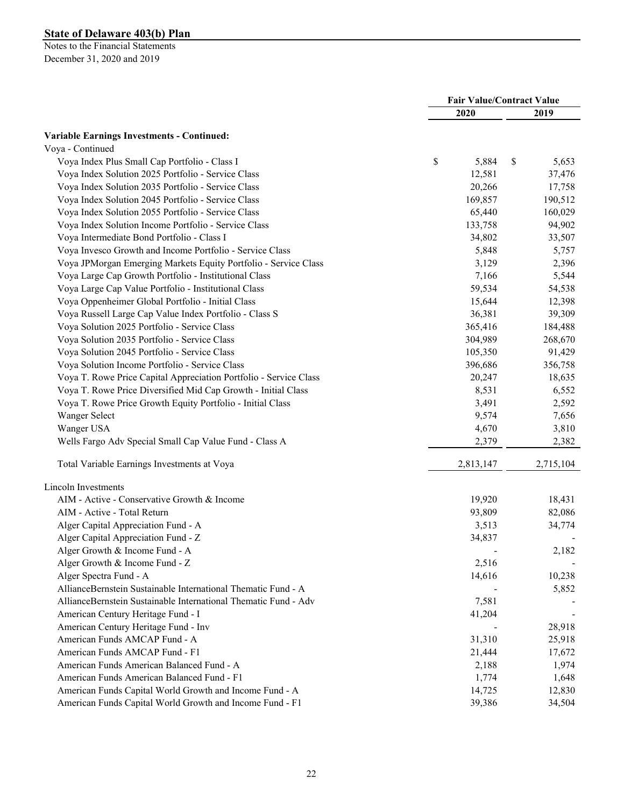|                                                                   | <b>Fair Value/Contract Value</b> |           |    |           |
|-------------------------------------------------------------------|----------------------------------|-----------|----|-----------|
|                                                                   |                                  | 2020      |    | 2019      |
| <b>Variable Earnings Investments - Continued:</b>                 |                                  |           |    |           |
| Voya - Continued                                                  |                                  |           |    |           |
| Voya Index Plus Small Cap Portfolio - Class I                     | \$                               | 5,884     | \$ | 5,653     |
| Voya Index Solution 2025 Portfolio - Service Class                |                                  | 12,581    |    | 37,476    |
| Voya Index Solution 2035 Portfolio - Service Class                |                                  | 20,266    |    | 17,758    |
| Voya Index Solution 2045 Portfolio - Service Class                |                                  | 169,857   |    | 190,512   |
| Voya Index Solution 2055 Portfolio - Service Class                |                                  | 65,440    |    | 160,029   |
| Voya Index Solution Income Portfolio - Service Class              |                                  | 133,758   |    | 94,902    |
| Voya Intermediate Bond Portfolio - Class I                        |                                  | 34,802    |    | 33,507    |
| Voya Invesco Growth and Income Portfolio - Service Class          |                                  | 5,848     |    | 5,757     |
| Voya JPMorgan Emerging Markets Equity Portfolio - Service Class   |                                  | 3,129     |    | 2,396     |
| Voya Large Cap Growth Portfolio - Institutional Class             |                                  | 7,166     |    | 5,544     |
| Voya Large Cap Value Portfolio - Institutional Class              |                                  | 59,534    |    | 54,538    |
| Voya Oppenheimer Global Portfolio - Initial Class                 |                                  | 15,644    |    | 12,398    |
| Voya Russell Large Cap Value Index Portfolio - Class S            |                                  | 36,381    |    | 39,309    |
| Voya Solution 2025 Portfolio - Service Class                      |                                  | 365,416   |    | 184,488   |
| Voya Solution 2035 Portfolio - Service Class                      |                                  | 304,989   |    | 268,670   |
| Voya Solution 2045 Portfolio - Service Class                      |                                  | 105,350   |    | 91,429    |
| Voya Solution Income Portfolio - Service Class                    |                                  | 396,686   |    | 356,758   |
| Voya T. Rowe Price Capital Appreciation Portfolio - Service Class |                                  | 20,247    |    | 18,635    |
| Voya T. Rowe Price Diversified Mid Cap Growth - Initial Class     |                                  | 8,531     |    | 6,552     |
| Voya T. Rowe Price Growth Equity Portfolio - Initial Class        |                                  | 3,491     |    | 2,592     |
| Wanger Select                                                     |                                  | 9,574     |    | 7,656     |
| Wanger USA                                                        |                                  | 4,670     |    | 3,810     |
| Wells Fargo Adv Special Small Cap Value Fund - Class A            |                                  | 2,379     |    | 2,382     |
| Total Variable Earnings Investments at Voya                       |                                  | 2,813,147 |    | 2,715,104 |
| Lincoln Investments                                               |                                  |           |    |           |
| AIM - Active - Conservative Growth & Income                       |                                  | 19,920    |    | 18,431    |
| AIM - Active - Total Return                                       |                                  | 93,809    |    | 82,086    |
| Alger Capital Appreciation Fund - A                               |                                  | 3,513     |    | 34,774    |
| Alger Capital Appreciation Fund - Z                               |                                  | 34,837    |    |           |
| Alger Growth & Income Fund - A                                    |                                  |           |    | 2,182     |
| Alger Growth & Income Fund - Z                                    |                                  | 2,516     |    |           |
| Alger Spectra Fund - A                                            |                                  | 14,616    |    | 10,238    |
| AllianceBernstein Sustainable International Thematic Fund - A     |                                  |           |    | 5,852     |
| AllianceBernstein Sustainable International Thematic Fund - Adv   |                                  | 7,581     |    |           |
| American Century Heritage Fund - I                                |                                  | 41,204    |    |           |
| American Century Heritage Fund - Inv                              |                                  |           |    | 28,918    |
| American Funds AMCAP Fund - A                                     |                                  | 31,310    |    | 25,918    |
| American Funds AMCAP Fund - F1                                    |                                  | 21,444    |    | 17,672    |
| American Funds American Balanced Fund - A                         |                                  | 2,188     |    | 1,974     |
| American Funds American Balanced Fund - F1                        |                                  | 1,774     |    | 1,648     |
| American Funds Capital World Growth and Income Fund - A           |                                  | 14,725    |    | 12,830    |
| American Funds Capital World Growth and Income Fund - F1          |                                  | 39,386    |    | 34,504    |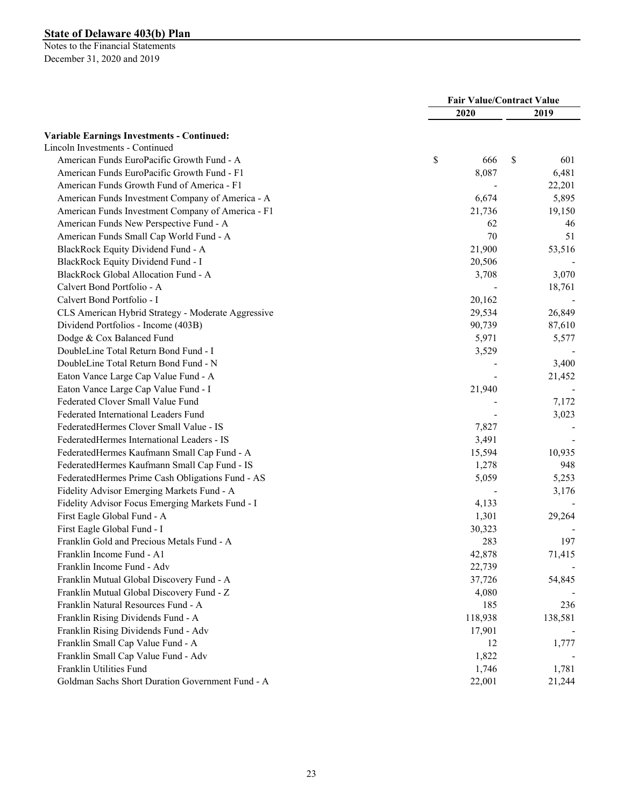|                                                    | <b>Fair Value/Contract Value</b> |         |    |         |
|----------------------------------------------------|----------------------------------|---------|----|---------|
|                                                    |                                  | 2020    |    | 2019    |
| <b>Variable Earnings Investments - Continued:</b>  |                                  |         |    |         |
| Lincoln Investments - Continued                    |                                  |         |    |         |
| American Funds EuroPacific Growth Fund - A         | \$                               | 666     | \$ | 601     |
| American Funds EuroPacific Growth Fund - F1        |                                  | 8,087   |    | 6,481   |
| American Funds Growth Fund of America - F1         |                                  |         |    | 22,201  |
| American Funds Investment Company of America - A   |                                  | 6,674   |    | 5,895   |
| American Funds Investment Company of America - F1  |                                  | 21,736  |    | 19,150  |
| American Funds New Perspective Fund - A            |                                  | 62      |    | 46      |
| American Funds Small Cap World Fund - A            |                                  | 70      |    | 51      |
| BlackRock Equity Dividend Fund - A                 |                                  | 21,900  |    | 53,516  |
| BlackRock Equity Dividend Fund - I                 |                                  | 20,506  |    |         |
| BlackRock Global Allocation Fund - A               |                                  | 3,708   |    | 3,070   |
| Calvert Bond Portfolio - A                         |                                  |         |    |         |
| Calvert Bond Portfolio - I                         |                                  |         |    | 18,761  |
|                                                    |                                  | 20,162  |    |         |
| CLS American Hybrid Strategy - Moderate Aggressive |                                  | 29,534  |    | 26,849  |
| Dividend Portfolios - Income (403B)                |                                  | 90,739  |    | 87,610  |
| Dodge & Cox Balanced Fund                          |                                  | 5,971   |    | 5,577   |
| DoubleLine Total Return Bond Fund - I              |                                  | 3,529   |    |         |
| DoubleLine Total Return Bond Fund - N              |                                  |         |    | 3,400   |
| Eaton Vance Large Cap Value Fund - A               |                                  |         |    | 21,452  |
| Eaton Vance Large Cap Value Fund - I               |                                  | 21,940  |    |         |
| Federated Clover Small Value Fund                  |                                  |         |    | 7,172   |
| Federated International Leaders Fund               |                                  |         |    | 3,023   |
| FederatedHermes Clover Small Value - IS            |                                  | 7,827   |    |         |
| FederatedHermes International Leaders - IS         |                                  | 3,491   |    |         |
| FederatedHermes Kaufmann Small Cap Fund - A        |                                  | 15,594  |    | 10,935  |
| FederatedHermes Kaufmann Small Cap Fund - IS       |                                  | 1,278   |    | 948     |
| FederatedHermes Prime Cash Obligations Fund - AS   |                                  | 5,059   |    | 5,253   |
| Fidelity Advisor Emerging Markets Fund - A         |                                  |         |    | 3,176   |
| Fidelity Advisor Focus Emerging Markets Fund - I   |                                  | 4,133   |    |         |
| First Eagle Global Fund - A                        |                                  | 1,301   |    | 29,264  |
| First Eagle Global Fund - I                        |                                  | 30,323  |    |         |
| Franklin Gold and Precious Metals Fund - A         |                                  | 283     |    | 197     |
| Franklin Income Fund - A1                          |                                  | 42,878  |    | 71,415  |
| Franklin Income Fund - Adv                         |                                  | 22,739  |    |         |
| Franklin Mutual Global Discovery Fund - A          |                                  | 37,726  |    | 54,845  |
| Franklin Mutual Global Discovery Fund - Z          |                                  | 4,080   |    |         |
| Franklin Natural Resources Fund - A                |                                  | 185     |    | 236     |
| Franklin Rising Dividends Fund - A                 |                                  | 118,938 |    | 138,581 |
| Franklin Rising Dividends Fund - Adv               |                                  | 17,901  |    |         |
| Franklin Small Cap Value Fund - A                  |                                  | 12      |    | 1,777   |
| Franklin Small Cap Value Fund - Adv                |                                  | 1,822   |    |         |
| Franklin Utilities Fund                            |                                  | 1,746   |    | 1,781   |
| Goldman Sachs Short Duration Government Fund - A   |                                  | 22,001  |    | 21,244  |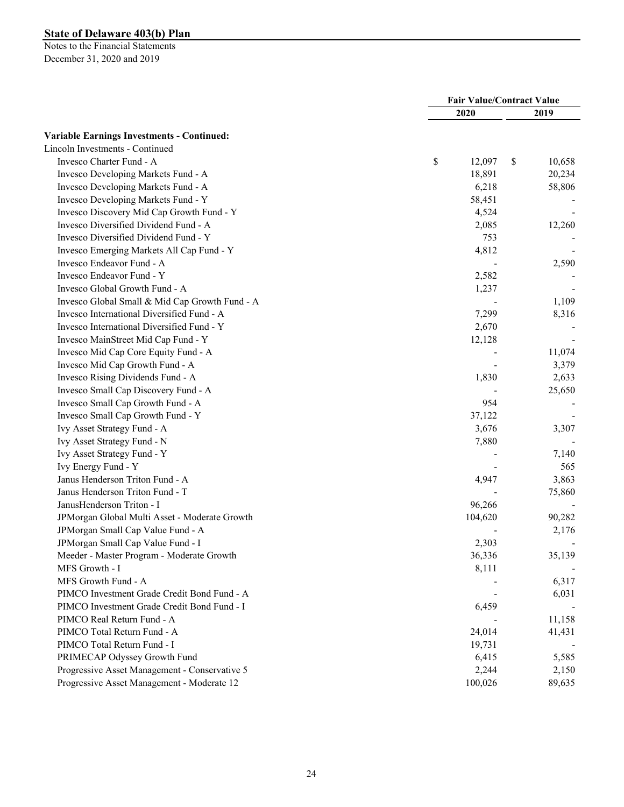|                                                   | <b>Fair Value/Contract Value</b> |         |    |        |
|---------------------------------------------------|----------------------------------|---------|----|--------|
|                                                   |                                  | 2020    |    | 2019   |
| <b>Variable Earnings Investments - Continued:</b> |                                  |         |    |        |
| Lincoln Investments - Continued                   |                                  |         |    |        |
| Invesco Charter Fund - A                          | \$                               | 12,097  | \$ | 10,658 |
| Invesco Developing Markets Fund - A               |                                  | 18,891  |    | 20,234 |
| Invesco Developing Markets Fund - A               |                                  | 6,218   |    | 58,806 |
| Invesco Developing Markets Fund - Y               |                                  | 58,451  |    |        |
| Invesco Discovery Mid Cap Growth Fund - Y         |                                  | 4,524   |    |        |
| Invesco Diversified Dividend Fund - A             |                                  | 2,085   |    | 12,260 |
| Invesco Diversified Dividend Fund - Y             |                                  | 753     |    |        |
| Invesco Emerging Markets All Cap Fund - Y         |                                  | 4,812   |    |        |
| Invesco Endeavor Fund - A                         |                                  |         |    | 2,590  |
| Invesco Endeavor Fund - Y                         |                                  | 2,582   |    |        |
| Invesco Global Growth Fund - A                    |                                  | 1,237   |    |        |
| Invesco Global Small & Mid Cap Growth Fund - A    |                                  |         |    | 1,109  |
| Invesco International Diversified Fund - A        |                                  | 7,299   |    | 8,316  |
| Invesco International Diversified Fund - Y        |                                  | 2,670   |    |        |
| Invesco MainStreet Mid Cap Fund - Y               |                                  | 12,128  |    |        |
| Invesco Mid Cap Core Equity Fund - A              |                                  |         |    | 11,074 |
| Invesco Mid Cap Growth Fund - A                   |                                  |         |    | 3,379  |
| Invesco Rising Dividends Fund - A                 |                                  | 1,830   |    | 2,633  |
| Invesco Small Cap Discovery Fund - A              |                                  |         |    | 25,650 |
| Invesco Small Cap Growth Fund - A                 |                                  | 954     |    |        |
| Invesco Small Cap Growth Fund - Y                 |                                  | 37,122  |    |        |
| Ivy Asset Strategy Fund - A                       |                                  | 3,676   |    | 3,307  |
| Ivy Asset Strategy Fund - N                       |                                  | 7,880   |    |        |
| Ivy Asset Strategy Fund - Y                       |                                  |         |    | 7,140  |
| Ivy Energy Fund - Y                               |                                  |         |    | 565    |
| Janus Henderson Triton Fund - A                   |                                  | 4,947   |    | 3,863  |
| Janus Henderson Triton Fund - T                   |                                  |         |    | 75,860 |
| JanusHenderson Triton - I                         |                                  | 96,266  |    |        |
| JPMorgan Global Multi Asset - Moderate Growth     |                                  | 104,620 |    | 90,282 |
| JPMorgan Small Cap Value Fund - A                 |                                  |         |    | 2,176  |
| JPMorgan Small Cap Value Fund - I                 |                                  | 2,303   |    |        |
| Meeder - Master Program - Moderate Growth         |                                  | 36,336  |    | 35,139 |
| MFS Growth - I                                    |                                  | 8,111   |    |        |
| MFS Growth Fund - A                               |                                  |         |    | 6,317  |
| PIMCO Investment Grade Credit Bond Fund - A       |                                  |         |    | 6,031  |
| PIMCO Investment Grade Credit Bond Fund - I       |                                  | 6,459   |    |        |
| PIMCO Real Return Fund - A                        |                                  |         |    | 11,158 |
| PIMCO Total Return Fund - A                       |                                  | 24,014  |    | 41,431 |
| PIMCO Total Return Fund - I                       |                                  | 19,731  |    |        |
| PRIMECAP Odyssey Growth Fund                      |                                  | 6,415   |    | 5,585  |
| Progressive Asset Management - Conservative 5     |                                  | 2,244   |    | 2,150  |
| Progressive Asset Management - Moderate 12        |                                  | 100,026 |    | 89,635 |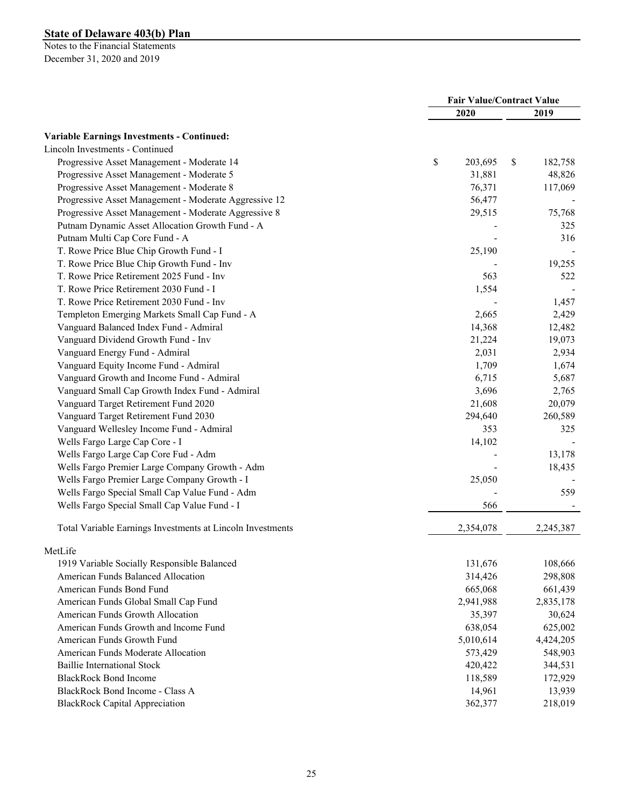|                                                            | <b>Fair Value/Contract Value</b> |           |    |           |
|------------------------------------------------------------|----------------------------------|-----------|----|-----------|
|                                                            |                                  | 2020      |    | 2019      |
| <b>Variable Earnings Investments - Continued:</b>          |                                  |           |    |           |
| Lincoln Investments - Continued                            |                                  |           |    |           |
| Progressive Asset Management - Moderate 14                 | \$                               | 203,695   | \$ | 182,758   |
| Progressive Asset Management - Moderate 5                  |                                  | 31,881    |    | 48,826    |
| Progressive Asset Management - Moderate 8                  |                                  | 76,371    |    | 117,069   |
| Progressive Asset Management - Moderate Aggressive 12      |                                  | 56,477    |    |           |
| Progressive Asset Management - Moderate Aggressive 8       |                                  | 29,515    |    | 75,768    |
| Putnam Dynamic Asset Allocation Growth Fund - A            |                                  |           |    | 325       |
| Putnam Multi Cap Core Fund - A                             |                                  |           |    | 316       |
| T. Rowe Price Blue Chip Growth Fund - I                    |                                  | 25,190    |    |           |
| T. Rowe Price Blue Chip Growth Fund - Inv                  |                                  |           |    | 19,255    |
| T. Rowe Price Retirement 2025 Fund - Inv                   |                                  | 563       |    | 522       |
| T. Rowe Price Retirement 2030 Fund - I                     |                                  | 1,554     |    |           |
| T. Rowe Price Retirement 2030 Fund - Inv                   |                                  |           |    | 1,457     |
| Templeton Emerging Markets Small Cap Fund - A              |                                  | 2,665     |    | 2,429     |
| Vanguard Balanced Index Fund - Admiral                     |                                  | 14,368    |    | 12,482    |
| Vanguard Dividend Growth Fund - Inv                        |                                  | 21,224    |    | 19,073    |
| Vanguard Energy Fund - Admiral                             |                                  | 2,031     |    | 2,934     |
| Vanguard Equity Income Fund - Admiral                      |                                  | 1,709     |    | 1,674     |
| Vanguard Growth and Income Fund - Admiral                  |                                  | 6,715     |    | 5,687     |
| Vanguard Small Cap Growth Index Fund - Admiral             |                                  | 3,696     |    | 2,765     |
| Vanguard Target Retirement Fund 2020                       |                                  | 21,608    |    | 20,079    |
| Vanguard Target Retirement Fund 2030                       |                                  | 294,640   |    | 260,589   |
| Vanguard Wellesley Income Fund - Admiral                   |                                  | 353       |    | 325       |
| Wells Fargo Large Cap Core - I                             |                                  | 14,102    |    |           |
| Wells Fargo Large Cap Core Fud - Adm                       |                                  |           |    | 13,178    |
| Wells Fargo Premier Large Company Growth - Adm             |                                  |           |    | 18,435    |
| Wells Fargo Premier Large Company Growth - I               |                                  | 25,050    |    |           |
| Wells Fargo Special Small Cap Value Fund - Adm             |                                  |           |    | 559       |
| Wells Fargo Special Small Cap Value Fund - I               |                                  | 566       |    |           |
|                                                            |                                  |           |    |           |
| Total Variable Earnings Investments at Lincoln Investments |                                  | 2,354,078 |    | 2,245,387 |
| MetLife                                                    |                                  |           |    |           |
| 1919 Variable Socially Responsible Balanced                |                                  | 131,676   |    | 108,666   |
| American Funds Balanced Allocation                         |                                  | 314,426   |    | 298,808   |
| American Funds Bond Fund                                   |                                  | 665,068   |    | 661,439   |
| American Funds Global Small Cap Fund                       |                                  | 2,941,988 |    | 2,835,178 |
| American Funds Growth Allocation                           |                                  | 35,397    |    | 30,624    |
| American Funds Growth and Income Fund                      |                                  | 638,054   |    | 625,002   |
| American Funds Growth Fund                                 |                                  | 5,010,614 |    | 4,424,205 |
| American Funds Moderate Allocation                         |                                  | 573,429   |    | 548,903   |
| <b>Baillie International Stock</b>                         |                                  | 420,422   |    | 344,531   |
| <b>BlackRock Bond Income</b>                               |                                  | 118,589   |    | 172,929   |
| BlackRock Bond Income - Class A                            |                                  | 14,961    |    | 13,939    |
| <b>BlackRock Capital Appreciation</b>                      |                                  | 362,377   |    | 218,019   |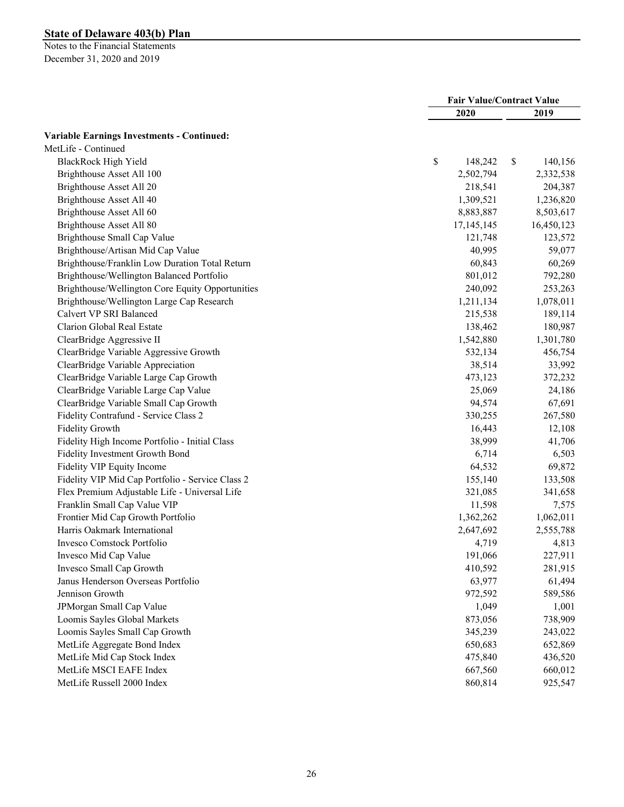|                                                   | <b>Fair Value/Contract Value</b> |              |            |
|---------------------------------------------------|----------------------------------|--------------|------------|
|                                                   | 2020                             |              | 2019       |
| <b>Variable Earnings Investments - Continued:</b> |                                  |              |            |
| MetLife - Continued                               |                                  |              |            |
| BlackRock High Yield                              | \$<br>148,242                    | $\mathbb{S}$ | 140,156    |
| Brighthouse Asset All 100                         | 2,502,794                        |              | 2,332,538  |
| Brighthouse Asset All 20                          | 218,541                          |              | 204,387    |
| Brighthouse Asset All 40                          | 1,309,521                        |              | 1,236,820  |
| Brighthouse Asset All 60                          | 8,883,887                        |              | 8,503,617  |
| Brighthouse Asset All 80                          | 17,145,145                       |              | 16,450,123 |
| Brighthouse Small Cap Value                       | 121,748                          |              | 123,572    |
| Brighthouse/Artisan Mid Cap Value                 | 40,995                           |              | 59,077     |
| Brighthouse/Franklin Low Duration Total Return    | 60,843                           |              | 60,269     |
| Brighthouse/Wellington Balanced Portfolio         | 801,012                          |              | 792,280    |
| Brighthouse/Wellington Core Equity Opportunities  | 240,092                          |              | 253,263    |
| Brighthouse/Wellington Large Cap Research         | 1,211,134                        |              | 1,078,011  |
| Calvert VP SRI Balanced                           | 215,538                          |              | 189,114    |
| Clarion Global Real Estate                        | 138,462                          |              | 180,987    |
| ClearBridge Aggressive II                         | 1,542,880                        |              | 1,301,780  |
| ClearBridge Variable Aggressive Growth            | 532,134                          |              | 456,754    |
| ClearBridge Variable Appreciation                 | 38,514                           |              | 33,992     |
| ClearBridge Variable Large Cap Growth             | 473,123                          |              | 372,232    |
| ClearBridge Variable Large Cap Value              | 25,069                           |              | 24,186     |
| ClearBridge Variable Small Cap Growth             | 94,574                           |              | 67,691     |
| Fidelity Contrafund - Service Class 2             | 330,255                          |              | 267,580    |
| <b>Fidelity Growth</b>                            | 16,443                           |              | 12,108     |
| Fidelity High Income Portfolio - Initial Class    | 38,999                           |              | 41,706     |
| Fidelity Investment Growth Bond                   | 6,714                            |              | 6,503      |
| Fidelity VIP Equity Income                        | 64,532                           |              | 69,872     |
| Fidelity VIP Mid Cap Portfolio - Service Class 2  | 155,140                          |              | 133,508    |
| Flex Premium Adjustable Life - Universal Life     | 321,085                          |              | 341,658    |
| Franklin Small Cap Value VIP                      | 11,598                           |              | 7,575      |
| Frontier Mid Cap Growth Portfolio                 | 1,362,262                        |              | 1,062,011  |
| Harris Oakmark International                      | 2,647,692                        |              | 2,555,788  |
| Invesco Comstock Portfolio                        | 4,719                            |              | 4,813      |
| Invesco Mid Cap Value                             | 191,066                          |              | 227,911    |
| Invesco Small Cap Growth                          | 410,592                          |              | 281,915    |
| Janus Henderson Overseas Portfolio                | 63,977                           |              | 61,494     |
| Jennison Growth                                   | 972,592                          |              | 589,586    |
| JPMorgan Small Cap Value                          | 1,049                            |              | 1,001      |
| Loomis Sayles Global Markets                      | 873,056                          |              | 738,909    |
| Loomis Sayles Small Cap Growth                    | 345,239                          |              | 243,022    |
| MetLife Aggregate Bond Index                      | 650,683                          |              | 652,869    |
| MetLife Mid Cap Stock Index                       | 475,840                          |              | 436,520    |
| MetLife MSCI EAFE Index                           | 667,560                          |              | 660,012    |
| MetLife Russell 2000 Index                        | 860,814                          |              | 925,547    |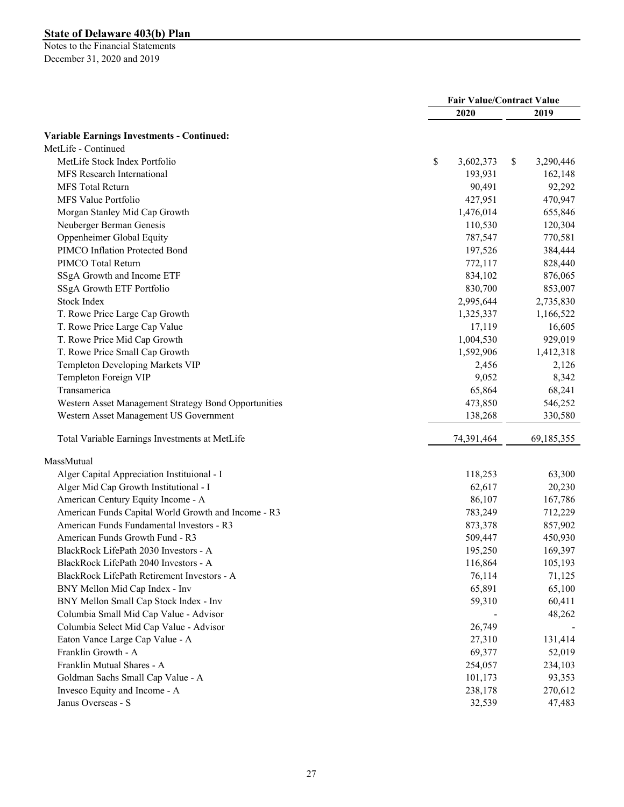|                                                      |                 | <b>Fair Value/Contract Value</b> |
|------------------------------------------------------|-----------------|----------------------------------|
|                                                      | 2020            | 2019                             |
| <b>Variable Earnings Investments - Continued:</b>    |                 |                                  |
| MetLife - Continued                                  |                 |                                  |
| MetLife Stock Index Portfolio                        | \$<br>3,602,373 | \$<br>3,290,446                  |
| MFS Research International                           | 193,931         | 162,148                          |
| <b>MFS</b> Total Return                              | 90,491          | 92,292                           |
| MFS Value Portfolio                                  | 427,951         | 470,947                          |
| Morgan Stanley Mid Cap Growth                        | 1,476,014       | 655,846                          |
| Neuberger Berman Genesis                             | 110,530         | 120,304                          |
| Oppenheimer Global Equity                            | 787,547         | 770,581                          |
| PIMCO Inflation Protected Bond                       | 197,526         | 384,444                          |
| PIMCO Total Return                                   | 772,117         | 828,440                          |
| SSgA Growth and Income ETF                           | 834,102         | 876,065                          |
| SSgA Growth ETF Portfolio                            | 830,700         | 853,007                          |
| <b>Stock Index</b>                                   | 2,995,644       | 2,735,830                        |
| T. Rowe Price Large Cap Growth                       | 1,325,337       |                                  |
|                                                      |                 | 1,166,522                        |
| T. Rowe Price Large Cap Value                        | 17,119          | 16,605                           |
| T. Rowe Price Mid Cap Growth                         | 1,004,530       | 929,019                          |
| T. Rowe Price Small Cap Growth                       | 1,592,906       | 1,412,318                        |
| Templeton Developing Markets VIP                     | 2,456           | 2,126                            |
| Templeton Foreign VIP                                | 9,052           | 8,342                            |
| Transamerica                                         | 65,864          | 68,241                           |
| Western Asset Management Strategy Bond Opportunities | 473,850         | 546,252                          |
| Western Asset Management US Government               | 138,268         | 330,580                          |
| Total Variable Earnings Investments at MetLife       | 74,391,464      | 69,185,355                       |
| MassMutual                                           |                 |                                  |
| Alger Capital Appreciation Instituional - I          | 118,253         | 63,300                           |
| Alger Mid Cap Growth Institutional - I               | 62,617          | 20,230                           |
| American Century Equity Income - A                   | 86,107          | 167,786                          |
| American Funds Capital World Growth and Income - R3  | 783,249         | 712,229                          |
| American Funds Fundamental Investors - R3            | 873,378         | 857,902                          |
| American Funds Growth Fund - R3                      | 509,447         | 450,930                          |
| BlackRock LifePath 2030 Investors - A                | 195,250         | 169,397                          |
| BlackRock LifePath 2040 Investors - A                | 116,864         | 105,193                          |
| BlackRock LifePath Retirement Investors - A          | 76,114          | 71,125                           |
| BNY Mellon Mid Cap Index - Inv                       | 65,891          | 65,100                           |
| BNY Mellon Small Cap Stock Index - Inv               | 59,310          | 60,411                           |
| Columbia Small Mid Cap Value - Advisor               |                 | 48,262                           |
| Columbia Select Mid Cap Value - Advisor              | 26,749          |                                  |
| Eaton Vance Large Cap Value - A                      | 27,310          | 131,414                          |
| Franklin Growth - A                                  | 69,377          | 52,019                           |
| Franklin Mutual Shares - A                           | 254,057         | 234,103                          |
| Goldman Sachs Small Cap Value - A                    | 101,173         | 93,353                           |
| Invesco Equity and Income - A                        | 238,178         | 270,612                          |
| Janus Overseas - S                                   | 32,539          | 47,483                           |
|                                                      |                 |                                  |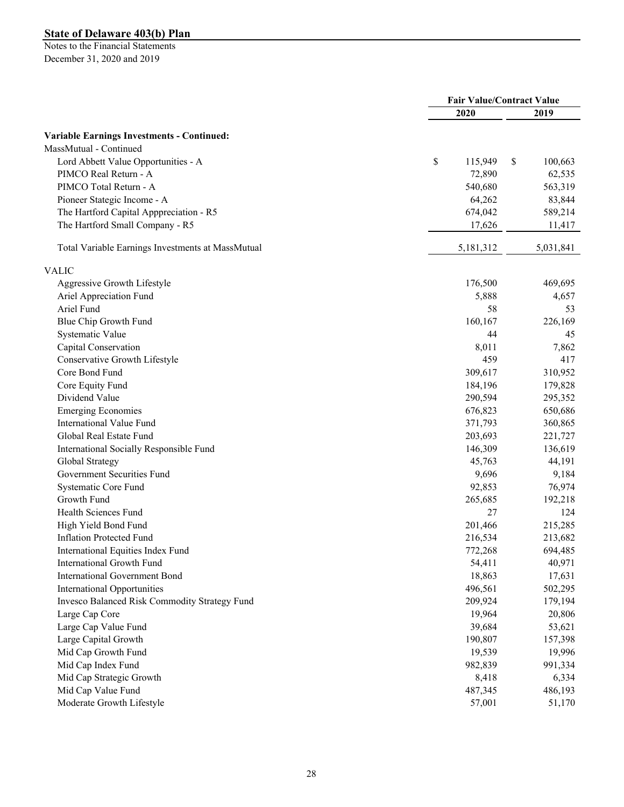|                                                   | <b>Fair Value/Contract Value</b> |           |    |           |
|---------------------------------------------------|----------------------------------|-----------|----|-----------|
|                                                   |                                  | 2020      |    | 2019      |
| <b>Variable Earnings Investments - Continued:</b> |                                  |           |    |           |
| MassMutual - Continued                            |                                  |           |    |           |
| Lord Abbett Value Opportunities - A               | \$                               | 115,949   | \$ | 100,663   |
| PIMCO Real Return - A                             |                                  | 72,890    |    | 62,535    |
| PIMCO Total Return - A                            |                                  | 540,680   |    | 563,319   |
| Pioneer Stategic Income - A                       |                                  | 64,262    |    | 83,844    |
| The Hartford Capital Apppreciation - R5           |                                  | 674,042   |    | 589,214   |
| The Hartford Small Company - R5                   |                                  | 17,626    |    | 11,417    |
|                                                   |                                  |           |    |           |
| Total Variable Earnings Investments at MassMutual |                                  | 5,181,312 |    | 5,031,841 |
| <b>VALIC</b>                                      |                                  |           |    |           |
| Aggressive Growth Lifestyle                       |                                  | 176,500   |    | 469,695   |
| Ariel Appreciation Fund                           |                                  | 5,888     |    | 4,657     |
| Ariel Fund                                        |                                  | 58        |    | 53        |
| Blue Chip Growth Fund                             |                                  | 160,167   |    | 226,169   |
| Systematic Value                                  |                                  | 44        |    | 45        |
| Capital Conservation                              |                                  | 8,011     |    | 7,862     |
| Conservative Growth Lifestyle                     |                                  | 459       |    | 417       |
| Core Bond Fund                                    |                                  | 309,617   |    | 310,952   |
| Core Equity Fund                                  |                                  | 184,196   |    | 179,828   |
| Dividend Value                                    |                                  | 290,594   |    | 295,352   |
| <b>Emerging Economies</b>                         |                                  | 676,823   |    | 650,686   |
| International Value Fund                          |                                  | 371,793   |    | 360,865   |
| Global Real Estate Fund                           |                                  | 203,693   |    | 221,727   |
| International Socially Responsible Fund           |                                  | 146,309   |    | 136,619   |
| Global Strategy                                   |                                  | 45,763    |    | 44,191    |
| Government Securities Fund                        |                                  | 9,696     |    | 9,184     |
| Systematic Core Fund                              |                                  | 92,853    |    | 76,974    |
| Growth Fund                                       |                                  | 265,685   |    | 192,218   |
| Health Sciences Fund                              |                                  | 27        |    | 124       |
| High Yield Bond Fund                              |                                  | 201,466   |    | 215,285   |
| <b>Inflation Protected Fund</b>                   |                                  | 216,534   |    | 213,682   |
| International Equities Index Fund                 |                                  | 772,268   |    | 694,485   |
| International Growth Fund                         |                                  | 54,411    |    | 40,971    |
| <b>International Government Bond</b>              |                                  | 18,863    |    | 17,631    |
| <b>International Opportunities</b>                |                                  | 496,561   |    | 502,295   |
| Invesco Balanced Risk Commodity Strategy Fund     |                                  | 209,924   |    | 179,194   |
| Large Cap Core                                    |                                  | 19,964    |    | 20,806    |
| Large Cap Value Fund                              |                                  | 39,684    |    | 53,621    |
| Large Capital Growth                              |                                  | 190,807   |    | 157,398   |
| Mid Cap Growth Fund                               |                                  | 19,539    |    | 19,996    |
| Mid Cap Index Fund                                |                                  | 982,839   |    | 991,334   |
| Mid Cap Strategic Growth                          |                                  | 8,418     |    | 6,334     |
| Mid Cap Value Fund                                |                                  | 487,345   |    | 486,193   |
| Moderate Growth Lifestyle                         |                                  | 57,001    |    | 51,170    |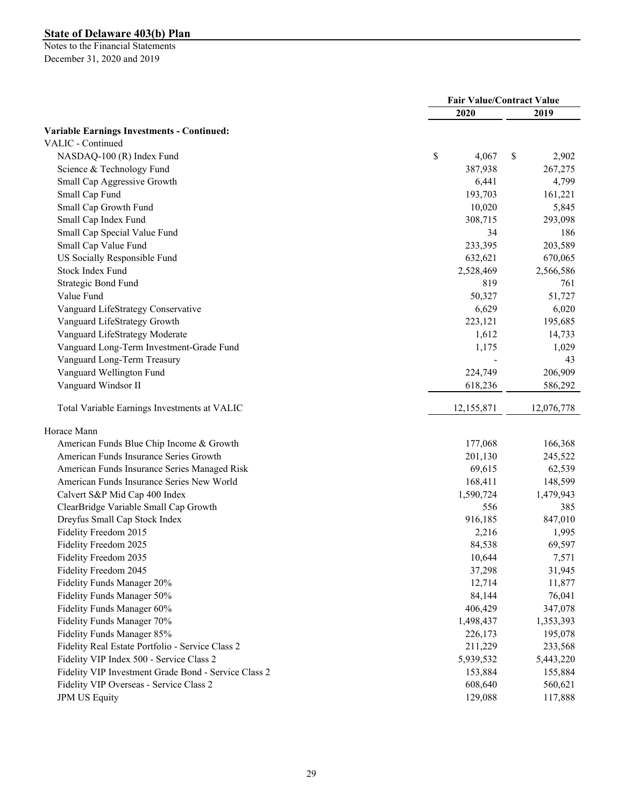|                                                      | <b>Fair Value/Contract Value</b> |            |    |                      |
|------------------------------------------------------|----------------------------------|------------|----|----------------------|
|                                                      |                                  | 2020       |    | 2019                 |
| <b>Variable Earnings Investments - Continued:</b>    |                                  |            |    |                      |
| VALIC - Continued                                    |                                  |            |    |                      |
| NASDAQ-100 (R) Index Fund                            | \$                               | 4,067      | \$ | 2,902                |
| Science & Technology Fund                            |                                  | 387,938    |    | 267,275              |
| Small Cap Aggressive Growth                          |                                  | 6,441      |    | 4,799                |
| Small Cap Fund                                       |                                  | 193,703    |    | 161,221              |
| Small Cap Growth Fund                                |                                  | 10,020     |    | 5,845                |
| Small Cap Index Fund                                 |                                  | 308,715    |    | 293,098              |
| Small Cap Special Value Fund                         |                                  | 34         |    | 186                  |
| Small Cap Value Fund                                 |                                  | 233,395    |    | 203,589              |
| US Socially Responsible Fund                         |                                  | 632,621    |    | 670,065              |
| Stock Index Fund                                     |                                  | 2,528,469  |    | 2,566,586            |
| Strategic Bond Fund                                  |                                  | 819        |    | 761                  |
| Value Fund                                           |                                  | 50,327     |    | 51,727               |
| Vanguard LifeStrategy Conservative                   |                                  | 6,629      |    | 6,020                |
| Vanguard LifeStrategy Growth                         |                                  | 223,121    |    | 195,685              |
| Vanguard LifeStrategy Moderate                       |                                  | 1,612      |    | 14,733               |
| Vanguard Long-Term Investment-Grade Fund             |                                  | 1,175      |    | 1,029                |
| Vanguard Long-Term Treasury                          |                                  |            |    | 43                   |
| Vanguard Wellington Fund                             |                                  | 224,749    |    | 206,909              |
| Vanguard Windsor II                                  |                                  | 618,236    |    | 586,292              |
|                                                      |                                  |            |    |                      |
| Total Variable Earnings Investments at VALIC         |                                  | 12,155,871 |    | 12,076,778           |
| Horace Mann                                          |                                  |            |    |                      |
| American Funds Blue Chip Income & Growth             |                                  | 177,068    |    | 166,368              |
| American Funds Insurance Series Growth               |                                  | 201,130    |    | 245,522              |
| American Funds Insurance Series Managed Risk         |                                  | 69,615     |    | 62,539               |
| American Funds Insurance Series New World            |                                  | 168,411    |    | 148,599              |
| Calvert S&P Mid Cap 400 Index                        |                                  | 1,590,724  |    | 1,479,943            |
| ClearBridge Variable Small Cap Growth                |                                  | 556        |    | 385                  |
| Dreyfus Small Cap Stock Index                        |                                  | 916,185    |    | 847,010              |
| Fidelity Freedom 2015                                |                                  | 2,216      |    | 1,995                |
| Fidelity Freedom 2025                                |                                  | 84,538     |    | 69,597               |
| Fidelity Freedom 2035                                |                                  | 10,644     |    | 7,571                |
| Fidelity Freedom 2045                                |                                  | 37,298     |    | 31,945               |
| Fidelity Funds Manager 20%                           |                                  | 12,714     |    | 11,877               |
| Fidelity Funds Manager 50%                           |                                  | 84,144     |    | 76,041               |
| Fidelity Funds Manager 60%                           |                                  | 406,429    |    | 347,078              |
| Fidelity Funds Manager 70%                           |                                  | 1,498,437  |    | 1,353,393            |
| Fidelity Funds Manager 85%                           |                                  | 226,173    |    | 195,078              |
| Fidelity Real Estate Portfolio - Service Class 2     |                                  |            |    |                      |
| Fidelity VIP Index 500 - Service Class 2             |                                  | 211,229    |    | 233,568<br>5,443,220 |
|                                                      |                                  | 5,939,532  |    |                      |
| Fidelity VIP Investment Grade Bond - Service Class 2 |                                  | 153,884    |    | 155,884              |
| Fidelity VIP Overseas - Service Class 2              |                                  | 608,640    |    | 560,621              |
| <b>JPM US Equity</b>                                 |                                  | 129,088    |    | 117,888              |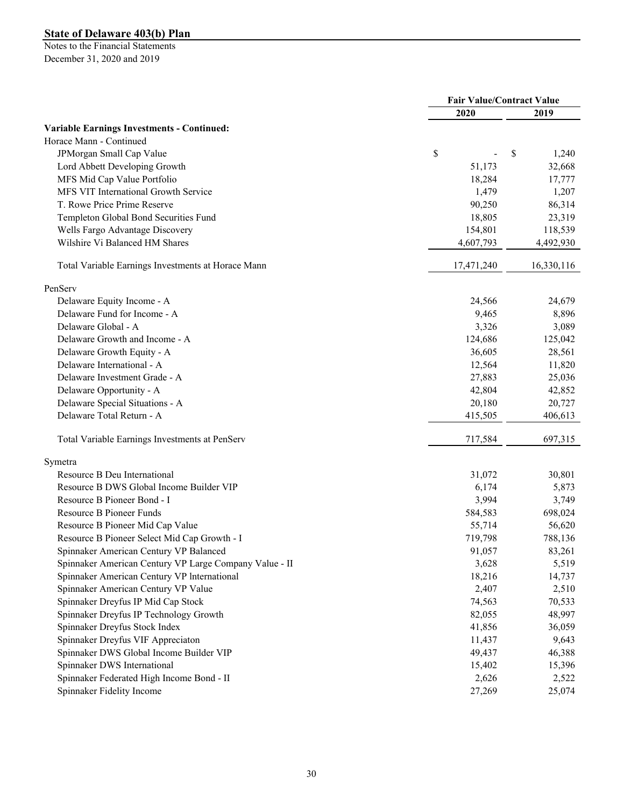| 2020<br>2019<br><b>Variable Earnings Investments - Continued:</b><br>Horace Mann - Continued<br>\$<br>\$<br>JPMorgan Small Cap Value<br>Lord Abbett Developing Growth<br>51,173<br>MFS Mid Cap Value Portfolio<br>18,284<br>MFS VIT International Growth Service<br>1,479<br>T. Rowe Price Prime Reserve<br>90,250<br>Templeton Global Bond Securities Fund<br>18,805<br>Wells Fargo Advantage Discovery<br>154,801<br>Wilshire Vi Balanced HM Shares<br>4,607,793<br>17,471,240<br>Total Variable Earnings Investments at Horace Mann<br>PenServ<br>Delaware Equity Income - A<br>24,566<br>Delaware Fund for Income - A<br>9,465<br>Delaware Global - A<br>3,326<br>Delaware Growth and Income - A<br>124,686<br>Delaware Growth Equity - A<br>36,605<br>Delaware International - A<br>12,564<br>Delaware Investment Grade - A<br>27,883<br>Delaware Opportunity - A<br>42,804 |                                 | <b>Fair Value/Contract Value</b> |        |  |            |
|----------------------------------------------------------------------------------------------------------------------------------------------------------------------------------------------------------------------------------------------------------------------------------------------------------------------------------------------------------------------------------------------------------------------------------------------------------------------------------------------------------------------------------------------------------------------------------------------------------------------------------------------------------------------------------------------------------------------------------------------------------------------------------------------------------------------------------------------------------------------------------|---------------------------------|----------------------------------|--------|--|------------|
|                                                                                                                                                                                                                                                                                                                                                                                                                                                                                                                                                                                                                                                                                                                                                                                                                                                                                  |                                 |                                  |        |  |            |
|                                                                                                                                                                                                                                                                                                                                                                                                                                                                                                                                                                                                                                                                                                                                                                                                                                                                                  |                                 |                                  |        |  |            |
|                                                                                                                                                                                                                                                                                                                                                                                                                                                                                                                                                                                                                                                                                                                                                                                                                                                                                  |                                 |                                  |        |  |            |
|                                                                                                                                                                                                                                                                                                                                                                                                                                                                                                                                                                                                                                                                                                                                                                                                                                                                                  |                                 |                                  |        |  | 1,240      |
|                                                                                                                                                                                                                                                                                                                                                                                                                                                                                                                                                                                                                                                                                                                                                                                                                                                                                  |                                 |                                  |        |  | 32,668     |
|                                                                                                                                                                                                                                                                                                                                                                                                                                                                                                                                                                                                                                                                                                                                                                                                                                                                                  |                                 |                                  |        |  | 17,777     |
|                                                                                                                                                                                                                                                                                                                                                                                                                                                                                                                                                                                                                                                                                                                                                                                                                                                                                  |                                 |                                  |        |  | 1,207      |
|                                                                                                                                                                                                                                                                                                                                                                                                                                                                                                                                                                                                                                                                                                                                                                                                                                                                                  |                                 |                                  |        |  | 86,314     |
|                                                                                                                                                                                                                                                                                                                                                                                                                                                                                                                                                                                                                                                                                                                                                                                                                                                                                  |                                 |                                  |        |  | 23,319     |
|                                                                                                                                                                                                                                                                                                                                                                                                                                                                                                                                                                                                                                                                                                                                                                                                                                                                                  |                                 |                                  |        |  | 118,539    |
|                                                                                                                                                                                                                                                                                                                                                                                                                                                                                                                                                                                                                                                                                                                                                                                                                                                                                  |                                 |                                  |        |  | 4,492,930  |
|                                                                                                                                                                                                                                                                                                                                                                                                                                                                                                                                                                                                                                                                                                                                                                                                                                                                                  |                                 |                                  |        |  | 16,330,116 |
|                                                                                                                                                                                                                                                                                                                                                                                                                                                                                                                                                                                                                                                                                                                                                                                                                                                                                  |                                 |                                  |        |  |            |
|                                                                                                                                                                                                                                                                                                                                                                                                                                                                                                                                                                                                                                                                                                                                                                                                                                                                                  |                                 |                                  |        |  | 24,679     |
|                                                                                                                                                                                                                                                                                                                                                                                                                                                                                                                                                                                                                                                                                                                                                                                                                                                                                  |                                 |                                  |        |  | 8,896      |
|                                                                                                                                                                                                                                                                                                                                                                                                                                                                                                                                                                                                                                                                                                                                                                                                                                                                                  |                                 |                                  |        |  | 3,089      |
|                                                                                                                                                                                                                                                                                                                                                                                                                                                                                                                                                                                                                                                                                                                                                                                                                                                                                  |                                 |                                  |        |  | 125,042    |
|                                                                                                                                                                                                                                                                                                                                                                                                                                                                                                                                                                                                                                                                                                                                                                                                                                                                                  |                                 |                                  |        |  | 28,561     |
|                                                                                                                                                                                                                                                                                                                                                                                                                                                                                                                                                                                                                                                                                                                                                                                                                                                                                  |                                 |                                  |        |  | 11,820     |
|                                                                                                                                                                                                                                                                                                                                                                                                                                                                                                                                                                                                                                                                                                                                                                                                                                                                                  |                                 |                                  |        |  | 25,036     |
|                                                                                                                                                                                                                                                                                                                                                                                                                                                                                                                                                                                                                                                                                                                                                                                                                                                                                  |                                 |                                  |        |  | 42,852     |
|                                                                                                                                                                                                                                                                                                                                                                                                                                                                                                                                                                                                                                                                                                                                                                                                                                                                                  | Delaware Special Situations - A |                                  | 20,180 |  | 20,727     |
| Delaware Total Return - A<br>415,505                                                                                                                                                                                                                                                                                                                                                                                                                                                                                                                                                                                                                                                                                                                                                                                                                                             |                                 |                                  |        |  | 406,613    |
| 717,584<br>Total Variable Earnings Investments at PenServ                                                                                                                                                                                                                                                                                                                                                                                                                                                                                                                                                                                                                                                                                                                                                                                                                        |                                 |                                  |        |  | 697,315    |
| Symetra                                                                                                                                                                                                                                                                                                                                                                                                                                                                                                                                                                                                                                                                                                                                                                                                                                                                          |                                 |                                  |        |  |            |
| Resource B Deu International<br>31,072                                                                                                                                                                                                                                                                                                                                                                                                                                                                                                                                                                                                                                                                                                                                                                                                                                           |                                 |                                  |        |  | 30,801     |
| Resource B DWS Global Income Builder VIP<br>6,174                                                                                                                                                                                                                                                                                                                                                                                                                                                                                                                                                                                                                                                                                                                                                                                                                                |                                 |                                  |        |  | 5,873      |
| Resource B Pioneer Bond - I<br>3,994                                                                                                                                                                                                                                                                                                                                                                                                                                                                                                                                                                                                                                                                                                                                                                                                                                             |                                 |                                  |        |  | 3,749      |
| <b>Resource B Pioneer Funds</b><br>584,583                                                                                                                                                                                                                                                                                                                                                                                                                                                                                                                                                                                                                                                                                                                                                                                                                                       |                                 |                                  |        |  | 698,024    |
| Resource B Pioneer Mid Cap Value<br>55,714                                                                                                                                                                                                                                                                                                                                                                                                                                                                                                                                                                                                                                                                                                                                                                                                                                       |                                 |                                  |        |  | 56,620     |
| Resource B Pioneer Select Mid Cap Growth - I<br>719,798                                                                                                                                                                                                                                                                                                                                                                                                                                                                                                                                                                                                                                                                                                                                                                                                                          |                                 |                                  |        |  | 788,136    |
| Spinnaker American Century VP Balanced<br>91,057                                                                                                                                                                                                                                                                                                                                                                                                                                                                                                                                                                                                                                                                                                                                                                                                                                 |                                 |                                  |        |  | 83,261     |
| Spinnaker American Century VP Large Company Value - II<br>3,628                                                                                                                                                                                                                                                                                                                                                                                                                                                                                                                                                                                                                                                                                                                                                                                                                  |                                 |                                  |        |  | 5,519      |
| Spinnaker American Century VP International<br>18,216                                                                                                                                                                                                                                                                                                                                                                                                                                                                                                                                                                                                                                                                                                                                                                                                                            |                                 |                                  |        |  | 14,737     |
| Spinnaker American Century VP Value<br>2,407                                                                                                                                                                                                                                                                                                                                                                                                                                                                                                                                                                                                                                                                                                                                                                                                                                     |                                 |                                  |        |  | 2,510      |
| Spinnaker Dreyfus IP Mid Cap Stock<br>74,563                                                                                                                                                                                                                                                                                                                                                                                                                                                                                                                                                                                                                                                                                                                                                                                                                                     |                                 |                                  |        |  | 70,533     |
| Spinnaker Dreyfus IP Technology Growth<br>82,055                                                                                                                                                                                                                                                                                                                                                                                                                                                                                                                                                                                                                                                                                                                                                                                                                                 |                                 |                                  |        |  | 48,997     |
| Spinnaker Dreyfus Stock Index<br>41,856                                                                                                                                                                                                                                                                                                                                                                                                                                                                                                                                                                                                                                                                                                                                                                                                                                          |                                 |                                  |        |  | 36,059     |
| Spinnaker Dreyfus VIF Appreciaton<br>11,437                                                                                                                                                                                                                                                                                                                                                                                                                                                                                                                                                                                                                                                                                                                                                                                                                                      |                                 |                                  |        |  | 9,643      |
| Spinnaker DWS Global Income Builder VIP<br>49,437                                                                                                                                                                                                                                                                                                                                                                                                                                                                                                                                                                                                                                                                                                                                                                                                                                |                                 |                                  |        |  | 46,388     |
| Spinnaker DWS International<br>15,402                                                                                                                                                                                                                                                                                                                                                                                                                                                                                                                                                                                                                                                                                                                                                                                                                                            |                                 |                                  |        |  | 15,396     |
| Spinnaker Federated High Income Bond - II<br>2,626                                                                                                                                                                                                                                                                                                                                                                                                                                                                                                                                                                                                                                                                                                                                                                                                                               |                                 |                                  |        |  | 2,522      |
| Spinnaker Fidelity Income<br>27,269                                                                                                                                                                                                                                                                                                                                                                                                                                                                                                                                                                                                                                                                                                                                                                                                                                              |                                 |                                  |        |  | 25,074     |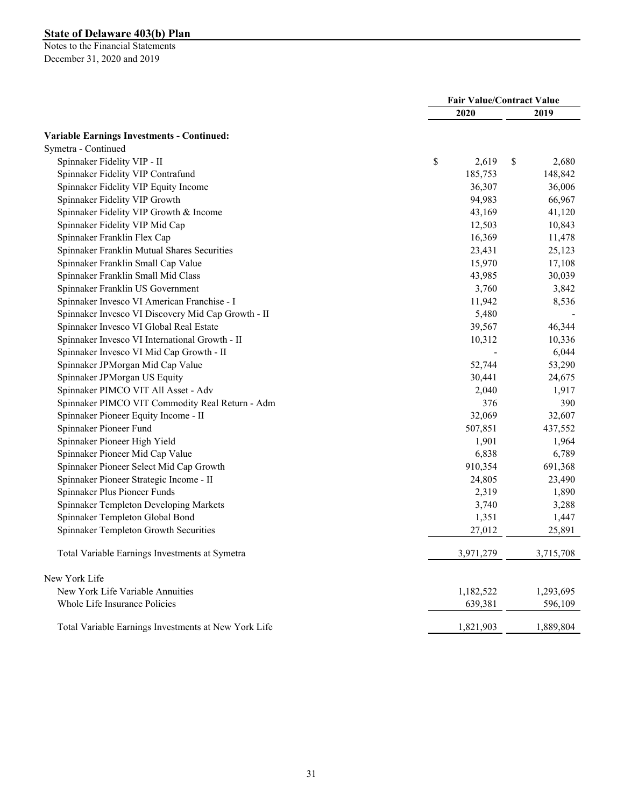|                                                      |             | <b>Fair Value/Contract Value</b> |
|------------------------------------------------------|-------------|----------------------------------|
|                                                      | 2020        | 2019                             |
| <b>Variable Earnings Investments - Continued:</b>    |             |                                  |
| Symetra - Continued                                  |             |                                  |
| Spinnaker Fidelity VIP - II                          | \$<br>2,619 | \$<br>2,680                      |
| Spinnaker Fidelity VIP Contrafund                    | 185,753     | 148,842                          |
| Spinnaker Fidelity VIP Equity Income                 | 36,307      | 36,006                           |
| Spinnaker Fidelity VIP Growth                        | 94,983      | 66,967                           |
| Spinnaker Fidelity VIP Growth & Income               | 43,169      | 41,120                           |
| Spinnaker Fidelity VIP Mid Cap                       | 12,503      | 10,843                           |
| Spinnaker Franklin Flex Cap                          | 16,369      | 11,478                           |
| Spinnaker Franklin Mutual Shares Securities          | 23,431      | 25,123                           |
| Spinnaker Franklin Small Cap Value                   | 15,970      | 17,108                           |
| Spinnaker Franklin Small Mid Class                   | 43,985      | 30,039                           |
| Spinnaker Franklin US Government                     | 3,760       | 3,842                            |
| Spinnaker Invesco VI American Franchise - I          | 11,942      | 8,536                            |
| Spinnaker Invesco VI Discovery Mid Cap Growth - II   | 5,480       |                                  |
| Spinnaker Invesco VI Global Real Estate              | 39,567      | 46,344                           |
| Spinnaker Invesco VI International Growth - II       | 10,312      | 10,336                           |
| Spinnaker Invesco VI Mid Cap Growth - II             |             | 6,044                            |
| Spinnaker JPMorgan Mid Cap Value                     | 52,744      | 53,290                           |
| Spinnaker JPMorgan US Equity                         | 30,441      | 24,675                           |
| Spinnaker PIMCO VIT All Asset - Adv                  | 2,040       | 1,917                            |
| Spinnaker PIMCO VIT Commodity Real Return - Adm      | 376         | 390                              |
| Spinnaker Pioneer Equity Income - II                 | 32,069      | 32,607                           |
| Spinnaker Pioneer Fund                               | 507,851     | 437,552                          |
| Spinnaker Pioneer High Yield                         | 1,901       | 1,964                            |
| Spinnaker Pioneer Mid Cap Value                      | 6,838       | 6,789                            |
| Spinnaker Pioneer Select Mid Cap Growth              | 910,354     | 691,368                          |
| Spinnaker Pioneer Strategic Income - II              | 24,805      | 23,490                           |
| Spinnaker Plus Pioneer Funds                         | 2,319       | 1,890                            |
| Spinnaker Templeton Developing Markets               | 3,740       | 3,288                            |
| Spinnaker Templeton Global Bond                      | 1,351       | 1,447                            |
| Spinnaker Templeton Growth Securities                | 27,012      | 25,891                           |
| Total Variable Earnings Investments at Symetra       | 3,971,279   | 3,715,708                        |
| New York Life                                        |             |                                  |
| New York Life Variable Annuities                     | 1,182,522   | 1,293,695                        |
| Whole Life Insurance Policies                        | 639,381     | 596,109                          |
| Total Variable Earnings Investments at New York Life | 1,821,903   | 1,889,804                        |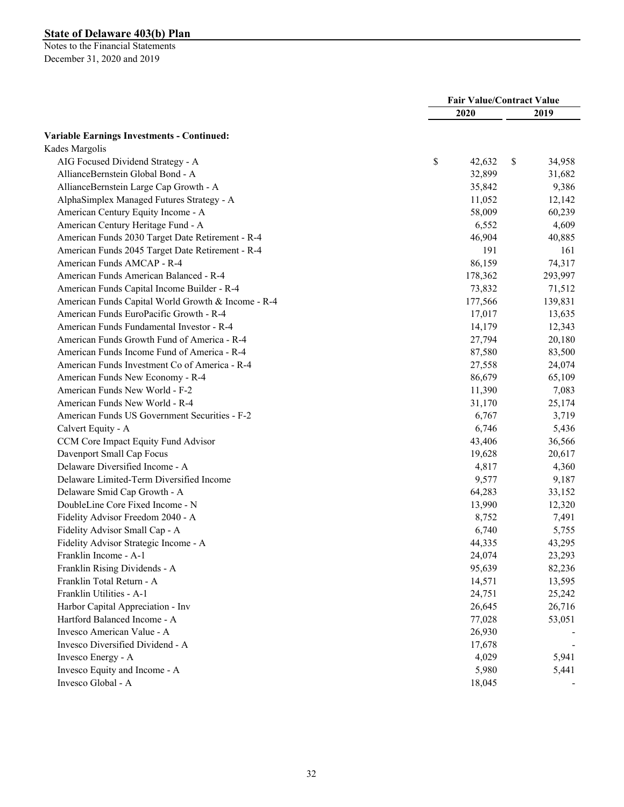|                                                    | <b>Fair Value/Contract Value</b> |    |         |
|----------------------------------------------------|----------------------------------|----|---------|
|                                                    | 2020                             |    | 2019    |
| <b>Variable Earnings Investments - Continued:</b>  |                                  |    |         |
| Kades Margolis                                     |                                  |    |         |
| AIG Focused Dividend Strategy - A                  | \$<br>42,632                     | \$ | 34,958  |
| AllianceBernstein Global Bond - A                  | 32,899                           |    | 31,682  |
| AllianceBernstein Large Cap Growth - A             | 35,842                           |    | 9,386   |
| AlphaSimplex Managed Futures Strategy - A          | 11,052                           |    | 12,142  |
| American Century Equity Income - A                 | 58,009                           |    | 60,239  |
| American Century Heritage Fund - A                 | 6,552                            |    | 4,609   |
| American Funds 2030 Target Date Retirement - R-4   | 46,904                           |    | 40,885  |
| American Funds 2045 Target Date Retirement - R-4   | 191                              |    | 161     |
| American Funds AMCAP - R-4                         | 86,159                           |    | 74,317  |
| American Funds American Balanced - R-4             | 178,362                          |    | 293,997 |
| American Funds Capital Income Builder - R-4        | 73,832                           |    | 71,512  |
| American Funds Capital World Growth & Income - R-4 | 177,566                          |    | 139,831 |
| American Funds EuroPacific Growth - R-4            | 17,017                           |    | 13,635  |
| American Funds Fundamental Investor - R-4          | 14,179                           |    | 12,343  |
| American Funds Growth Fund of America - R-4        | 27,794                           |    | 20,180  |
| American Funds Income Fund of America - R-4        | 87,580                           |    | 83,500  |
| American Funds Investment Co of America - R-4      | 27,558                           |    | 24,074  |
| American Funds New Economy - R-4                   | 86,679                           |    | 65,109  |
| American Funds New World - F-2                     | 11,390                           |    | 7,083   |
| American Funds New World - R-4                     | 31,170                           |    | 25,174  |
| American Funds US Government Securities - F-2      | 6,767                            |    | 3,719   |
| Calvert Equity - A                                 | 6,746                            |    | 5,436   |
| CCM Core Impact Equity Fund Advisor                | 43,406                           |    | 36,566  |
| Davenport Small Cap Focus                          | 19,628                           |    | 20,617  |
| Delaware Diversified Income - A                    | 4,817                            |    | 4,360   |
| Delaware Limited-Term Diversified Income           | 9,577                            |    | 9,187   |
| Delaware Smid Cap Growth - A                       | 64,283                           |    | 33,152  |
| DoubleLine Core Fixed Income - N                   | 13,990                           |    | 12,320  |
| Fidelity Advisor Freedom 2040 - A                  | 8,752                            |    | 7,491   |
| Fidelity Advisor Small Cap - A                     | 6,740                            |    | 5,755   |
| Fidelity Advisor Strategic Income - A              | 44,335                           |    | 43,295  |
| Franklin Income - A-1                              | 24,074                           |    | 23,293  |
| Franklin Rising Dividends - A                      | 95,639                           |    | 82,236  |
| Franklin Total Return - A                          | 14,571                           |    | 13,595  |
| Franklin Utilities - A-1                           | 24,751                           |    | 25,242  |
| Harbor Capital Appreciation - Inv                  | 26,645                           |    | 26,716  |
| Hartford Balanced Income - A                       | 77,028                           |    | 53,051  |
| Invesco American Value - A                         | 26,930                           |    |         |
| Invesco Diversified Dividend - A                   | 17,678                           |    |         |
| Invesco Energy - A                                 | 4,029                            |    | 5,941   |
| Invesco Equity and Income - A                      | 5,980                            |    | 5,441   |
| Invesco Global - A                                 | 18,045                           |    |         |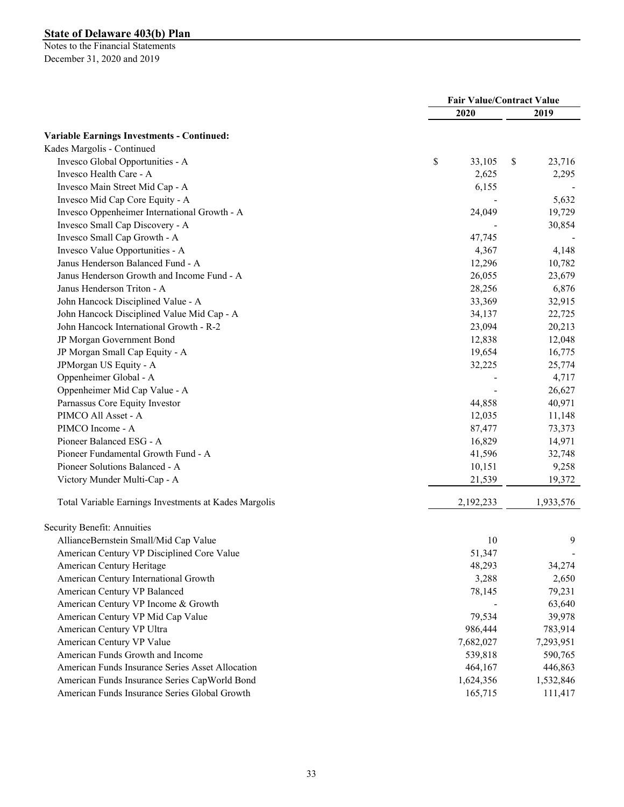|                                                       | <b>Fair Value/Contract Value</b> |           |    |           |
|-------------------------------------------------------|----------------------------------|-----------|----|-----------|
|                                                       |                                  | 2020      |    | 2019      |
| <b>Variable Earnings Investments - Continued:</b>     |                                  |           |    |           |
| Kades Margolis - Continued                            |                                  |           |    |           |
| Invesco Global Opportunities - A                      | \$                               | 33,105    | \$ | 23,716    |
| Invesco Health Care - A                               |                                  | 2,625     |    | 2,295     |
| Invesco Main Street Mid Cap - A                       |                                  | 6,155     |    |           |
| Invesco Mid Cap Core Equity - A                       |                                  |           |    | 5,632     |
| Invesco Oppenheimer International Growth - A          |                                  | 24,049    |    | 19,729    |
| Invesco Small Cap Discovery - A                       |                                  |           |    | 30,854    |
| Invesco Small Cap Growth - A                          |                                  | 47,745    |    |           |
| Invesco Value Opportunities - A                       |                                  | 4,367     |    | 4,148     |
| Janus Henderson Balanced Fund - A                     |                                  | 12,296    |    | 10,782    |
| Janus Henderson Growth and Income Fund - A            |                                  | 26,055    |    | 23,679    |
| Janus Henderson Triton - A                            |                                  | 28,256    |    | 6,876     |
| John Hancock Disciplined Value - A                    |                                  | 33,369    |    | 32,915    |
| John Hancock Disciplined Value Mid Cap - A            |                                  | 34,137    |    | 22,725    |
| John Hancock International Growth - R-2               |                                  | 23,094    |    | 20,213    |
| JP Morgan Government Bond                             |                                  | 12,838    |    | 12,048    |
| JP Morgan Small Cap Equity - A                        |                                  | 19,654    |    | 16,775    |
| JPMorgan US Equity - A                                |                                  | 32,225    |    | 25,774    |
| Oppenheimer Global - A                                |                                  |           |    | 4,717     |
| Oppenheimer Mid Cap Value - A                         |                                  |           |    | 26,627    |
| Parnassus Core Equity Investor                        |                                  | 44,858    |    | 40,971    |
| PIMCO All Asset - A                                   |                                  | 12,035    |    | 11,148    |
| PIMCO Income - A                                      |                                  | 87,477    |    | 73,373    |
| Pioneer Balanced ESG - A                              |                                  | 16,829    |    | 14,971    |
| Pioneer Fundamental Growth Fund - A                   |                                  | 41,596    |    | 32,748    |
| Pioneer Solutions Balanced - A                        |                                  | 10,151    |    | 9,258     |
| Victory Munder Multi-Cap - A                          |                                  | 21,539    |    | 19,372    |
| Total Variable Earnings Investments at Kades Margolis |                                  | 2,192,233 |    | 1,933,576 |
| Security Benefit: Annuities                           |                                  |           |    |           |
| AllianceBernstein Small/Mid Cap Value                 |                                  | 10        |    | 9         |
| American Century VP Disciplined Core Value            |                                  | 51,347    |    |           |
| American Century Heritage                             |                                  | 48,293    |    | 34,274    |
| American Century International Growth                 |                                  | 3,288     |    | 2,650     |
| American Century VP Balanced                          |                                  | 78,145    |    | 79,231    |
| American Century VP Income & Growth                   |                                  |           |    | 63,640    |
| American Century VP Mid Cap Value                     |                                  | 79,534    |    | 39,978    |
| American Century VP Ultra                             |                                  | 986,444   |    | 783,914   |
| American Century VP Value                             |                                  | 7,682,027 |    | 7,293,951 |
| American Funds Growth and Income                      |                                  | 539,818   |    | 590,765   |
| American Funds Insurance Series Asset Allocation      |                                  | 464,167   |    | 446,863   |
| American Funds Insurance Series CapWorld Bond         |                                  | 1,624,356 |    | 1,532,846 |
| American Funds Insurance Series Global Growth         |                                  | 165,715   |    | 111,417   |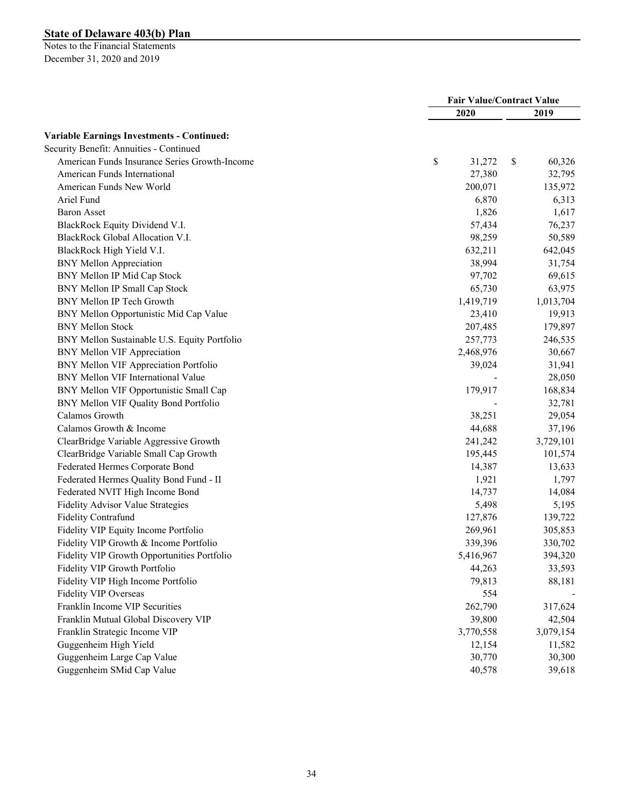|                                                   |              | <b>Fair Value/Contract Value</b> |           |
|---------------------------------------------------|--------------|----------------------------------|-----------|
|                                                   | 2020         |                                  | 2019      |
| <b>Variable Earnings Investments - Continued:</b> |              |                                  |           |
| Security Benefit: Annuities - Continued           |              |                                  |           |
| American Funds Insurance Series Growth-Income     | \$<br>31,272 | \$                               | 60,326    |
| American Funds International                      | 27,380       |                                  | 32,795    |
| American Funds New World                          | 200,071      |                                  | 135,972   |
| Ariel Fund                                        |              | 6,870                            | 6,313     |
| <b>Baron Asset</b>                                |              | 1,826                            | 1,617     |
| BlackRock Equity Dividend V.I.                    | 57,434       |                                  | 76,237    |
| BlackRock Global Allocation V.I.                  | 98,259       |                                  | 50,589    |
| BlackRock High Yield V.I.                         | 632,211      |                                  | 642,045   |
| <b>BNY Mellon Appreciation</b>                    | 38,994       |                                  | 31,754    |
| BNY Mellon IP Mid Cap Stock                       | 97,702       |                                  | 69,615    |
| BNY Mellon IP Small Cap Stock                     | 65,730       |                                  | 63,975    |
| BNY Mellon IP Tech Growth                         | 1,419,719    |                                  | 1,013,704 |
| BNY Mellon Opportunistic Mid Cap Value            | 23,410       |                                  | 19,913    |
| <b>BNY Mellon Stock</b>                           | 207,485      |                                  | 179,897   |
| BNY Mellon Sustainable U.S. Equity Portfolio      | 257,773      |                                  | 246,535   |
| <b>BNY Mellon VIF Appreciation</b>                | 2,468,976    |                                  | 30,667    |
| BNY Mellon VIF Appreciation Portfolio             | 39,024       |                                  | 31,941    |
| BNY Mellon VIF International Value                |              |                                  | 28,050    |
| BNY Mellon VIF Opportunistic Small Cap            | 179,917      |                                  | 168,834   |
| BNY Mellon VIF Quality Bond Portfolio             |              |                                  | 32,781    |
| Calamos Growth                                    |              |                                  | 29,054    |
| Calamos Growth & Income                           | 38,251       |                                  |           |
|                                                   | 44,688       |                                  | 37,196    |
| ClearBridge Variable Aggressive Growth            | 241,242      |                                  | 3,729,101 |
| ClearBridge Variable Small Cap Growth             | 195,445      |                                  | 101,574   |
| Federated Hermes Corporate Bond                   | 14,387       |                                  | 13,633    |
| Federated Hermes Quality Bond Fund - II           | 1,921        |                                  | 1,797     |
| Federated NVIT High Income Bond                   | 14,737       |                                  | 14,084    |
| Fidelity Advisor Value Strategies                 |              | 5,498                            | 5,195     |
| <b>Fidelity Contrafund</b>                        | 127,876      |                                  | 139,722   |
| Fidelity VIP Equity Income Portfolio              | 269,961      |                                  | 305,853   |
| Fidelity VIP Growth & Income Portfolio            | 339,396      |                                  | 330,702   |
| Fidelity VIP Growth Opportunities Portfolio       | 5,416,967    |                                  | 394,320   |
| Fidelity VIP Growth Portfolio                     | 44,263       |                                  | 33,593    |
| Fidelity VIP High Income Portfolio                | 79,813       |                                  | 88,181    |
| Fidelity VIP Overseas                             |              | 554                              |           |
| Franklin Income VIP Securities                    | 262,790      |                                  | 317,624   |
| Franklin Mutual Global Discovery VIP              | 39,800       |                                  | 42,504    |
| Franklin Strategic Income VIP                     | 3,770,558    |                                  | 3,079,154 |
| Guggenheim High Yield                             | 12,154       |                                  | 11,582    |
| Guggenheim Large Cap Value                        | 30,770       |                                  | 30,300    |
| Guggenheim SMid Cap Value                         | 40,578       |                                  | 39,618    |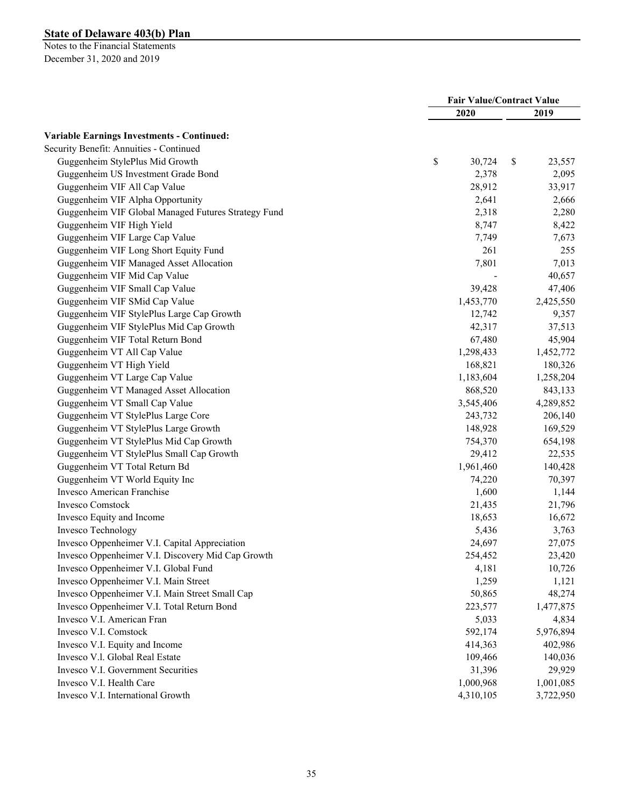|                                                     | <b>Fair Value/Contract Value</b> |           |              |
|-----------------------------------------------------|----------------------------------|-----------|--------------|
|                                                     |                                  | 2020      | 2019         |
| <b>Variable Earnings Investments - Continued:</b>   |                                  |           |              |
| Security Benefit: Annuities - Continued             |                                  |           |              |
| Guggenheim StylePlus Mid Growth                     | \$                               | 30,724    | \$<br>23,557 |
| Guggenheim US Investment Grade Bond                 |                                  | 2,378     | 2,095        |
| Guggenheim VIF All Cap Value                        |                                  | 28,912    | 33,917       |
| Guggenheim VIF Alpha Opportunity                    |                                  | 2,641     | 2,666        |
| Guggenheim VIF Global Managed Futures Strategy Fund |                                  | 2,318     | 2,280        |
| Guggenheim VIF High Yield                           |                                  | 8,747     | 8,422        |
| Guggenheim VIF Large Cap Value                      |                                  | 7,749     | 7,673        |
| Guggenheim VIF Long Short Equity Fund               |                                  | 261       | 255          |
| Guggenheim VIF Managed Asset Allocation             |                                  | 7,801     | 7,013        |
| Guggenheim VIF Mid Cap Value                        |                                  |           | 40,657       |
| Guggenheim VIF Small Cap Value                      |                                  | 39,428    | 47,406       |
| Guggenheim VIF SMid Cap Value                       |                                  | 1,453,770 | 2,425,550    |
| Guggenheim VIF StylePlus Large Cap Growth           |                                  | 12,742    | 9,357        |
| Guggenheim VIF StylePlus Mid Cap Growth             |                                  | 42,317    | 37,513       |
| Guggenheim VIF Total Return Bond                    |                                  | 67,480    | 45,904       |
| Guggenheim VT All Cap Value                         |                                  | 1,298,433 | 1,452,772    |
| Guggenheim VT High Yield                            |                                  | 168,821   | 180,326      |
| Guggenheim VT Large Cap Value                       |                                  | 1,183,604 | 1,258,204    |
| Guggenheim VT Managed Asset Allocation              |                                  | 868,520   | 843,133      |
| Guggenheim VT Small Cap Value                       |                                  | 3,545,406 | 4,289,852    |
| Guggenheim VT StylePlus Large Core                  |                                  | 243,732   | 206,140      |
| Guggenheim VT StylePlus Large Growth                |                                  | 148,928   | 169,529      |
| Guggenheim VT StylePlus Mid Cap Growth              |                                  | 754,370   | 654,198      |
| Guggenheim VT StylePlus Small Cap Growth            |                                  | 29,412    | 22,535       |
| Guggenheim VT Total Return Bd                       |                                  | 1,961,460 | 140,428      |
| Guggenheim VT World Equity Inc                      |                                  | 74,220    | 70,397       |
| Invesco American Franchise                          |                                  | 1,600     | 1,144        |
| <b>Invesco Comstock</b>                             |                                  | 21,435    | 21,796       |
| Invesco Equity and Income                           |                                  | 18,653    | 16,672       |
| Invesco Technology                                  |                                  | 5,436     | 3,763        |
| Invesco Oppenheimer V.I. Capital Appreciation       |                                  | 24,697    | 27,075       |
| Invesco Oppenheimer V.I. Discovery Mid Cap Growth   |                                  | 254,452   | 23,420       |
| Invesco Oppenheimer V.I. Global Fund                |                                  | 4,181     | 10,726       |
| Invesco Oppenheimer V.I. Main Street                |                                  | 1,259     | 1,121        |
| Invesco Oppenheimer V.I. Main Street Small Cap      |                                  | 50,865    | 48,274       |
| Invesco Oppenheimer V.I. Total Return Bond          |                                  | 223,577   | 1,477,875    |
| Invesco V.I. American Fran                          |                                  | 5,033     | 4,834        |
| Invesco V.I. Comstock                               |                                  | 592,174   | 5,976,894    |
| Invesco V.I. Equity and Income                      |                                  | 414,363   | 402,986      |
| Invesco V.l. Global Real Estate                     |                                  | 109,466   | 140,036      |
| Invesco V.I. Government Securities                  |                                  | 31,396    | 29,929       |
| Invesco V.I. Health Care                            |                                  | 1,000,968 | 1,001,085    |
| Invesco V.I. International Growth                   |                                  | 4,310,105 | 3,722,950    |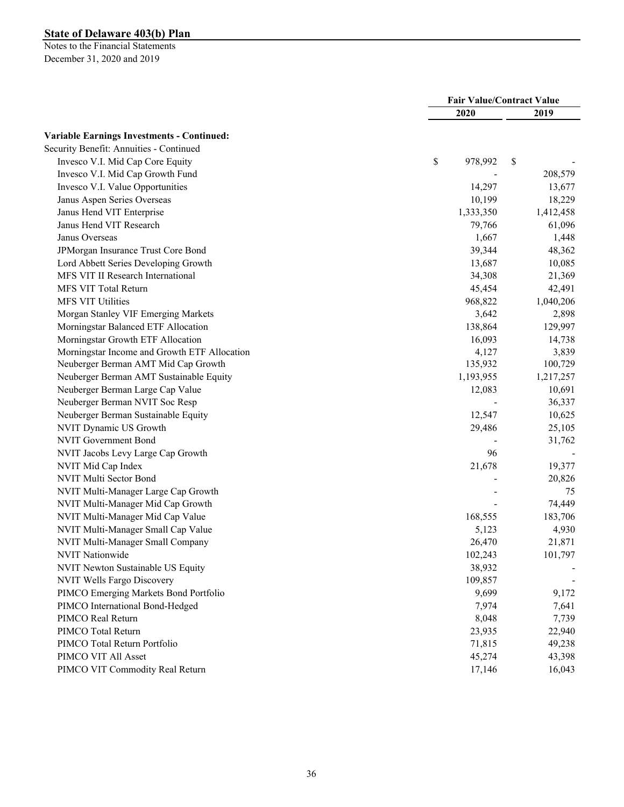|                                                   |               | <b>Fair Value/Contract Value</b> |  |  |
|---------------------------------------------------|---------------|----------------------------------|--|--|
|                                                   | 2020          | 2019                             |  |  |
| <b>Variable Earnings Investments - Continued:</b> |               |                                  |  |  |
| Security Benefit: Annuities - Continued           |               |                                  |  |  |
| Invesco V.I. Mid Cap Core Equity                  | \$<br>978,992 | \$                               |  |  |
| Invesco V.I. Mid Cap Growth Fund                  |               | 208,579                          |  |  |
| Invesco V.I. Value Opportunities                  | 14,297        | 13,677                           |  |  |
| Janus Aspen Series Overseas                       | 10,199        | 18,229                           |  |  |
| Janus Hend VIT Enterprise                         | 1,333,350     | 1,412,458                        |  |  |
| Janus Hend VIT Research                           | 79,766        | 61,096                           |  |  |
| Janus Overseas                                    | 1,667         | 1,448                            |  |  |
| JPMorgan Insurance Trust Core Bond                | 39,344        | 48,362                           |  |  |
| Lord Abbett Series Developing Growth              | 13,687        | 10,085                           |  |  |
| MFS VIT II Research International                 | 34,308        | 21,369                           |  |  |
| MFS VIT Total Return                              | 45,454        | 42,491                           |  |  |
| MFS VIT Utilities                                 | 968,822       | 1,040,206                        |  |  |
| Morgan Stanley VIF Emerging Markets               | 3,642         | 2,898                            |  |  |
| Morningstar Balanced ETF Allocation               | 138,864       | 129,997                          |  |  |
| Morningstar Growth ETF Allocation                 | 16,093        | 14,738                           |  |  |
| Morningstar Income and Growth ETF Allocation      | 4,127         | 3,839                            |  |  |
| Neuberger Berman AMT Mid Cap Growth               | 135,932       | 100,729                          |  |  |
| Neuberger Berman AMT Sustainable Equity           | 1,193,955     | 1,217,257                        |  |  |
| Neuberger Berman Large Cap Value                  | 12,083        | 10,691                           |  |  |
| Neuberger Berman NVIT Soc Resp                    |               | 36,337                           |  |  |
| Neuberger Berman Sustainable Equity               | 12,547        | 10,625                           |  |  |
| NVIT Dynamic US Growth                            | 29,486        | 25,105                           |  |  |
| <b>NVIT Government Bond</b>                       |               | 31,762                           |  |  |
| NVIT Jacobs Levy Large Cap Growth                 |               | 96                               |  |  |
| NVIT Mid Cap Index                                | 21,678        | 19,377                           |  |  |
| NVIT Multi Sector Bond                            |               | 20,826                           |  |  |
| NVIT Multi-Manager Large Cap Growth               |               | 75                               |  |  |
| NVIT Multi-Manager Mid Cap Growth                 |               | 74,449                           |  |  |
| NVIT Multi-Manager Mid Cap Value                  | 168,555       | 183,706                          |  |  |
| NVIT Multi-Manager Small Cap Value                | 5,123         | 4,930                            |  |  |
| NVIT Multi-Manager Small Company                  | 26,470        | 21,871                           |  |  |
| NVIT Nationwide                                   | 102,243       | 101,797                          |  |  |
| NVIT Newton Sustainable US Equity                 | 38,932        |                                  |  |  |
| NVIT Wells Fargo Discovery                        | 109,857       |                                  |  |  |
| PIMCO Emerging Markets Bond Portfolio             | 9,699         | 9,172                            |  |  |
| PIMCO International Bond-Hedged                   | 7,974         | 7,641                            |  |  |
| PIMCO Real Return                                 | 8,048         | 7,739                            |  |  |
| PIMCO Total Return                                | 23,935        | 22,940                           |  |  |
| PIMCO Total Return Portfolio                      | 71,815        | 49,238                           |  |  |
| PIMCO VIT All Asset                               | 45,274        | 43,398                           |  |  |
| PIMCO VIT Commodity Real Return                   | 17,146        | 16,043                           |  |  |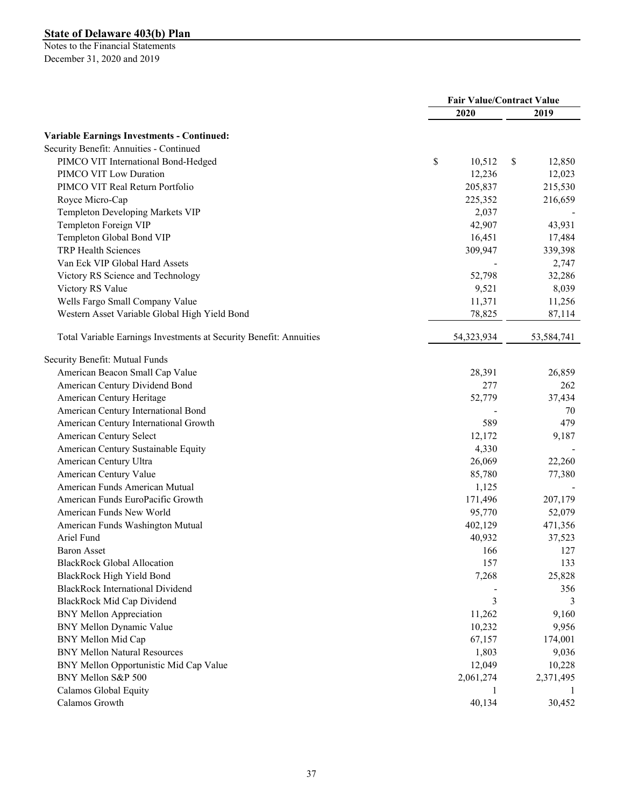|                                                                                              | <b>Fair Value/Contract Value</b> |            |    |            |
|----------------------------------------------------------------------------------------------|----------------------------------|------------|----|------------|
|                                                                                              |                                  | 2020       |    | 2019       |
|                                                                                              |                                  |            |    |            |
| <b>Variable Earnings Investments - Continued:</b><br>Security Benefit: Annuities - Continued |                                  |            |    |            |
| PIMCO VIT International Bond-Hedged                                                          | \$                               | 10,512     |    | 12,850     |
| PIMCO VIT Low Duration                                                                       |                                  | 12,236     | \$ | 12,023     |
| PIMCO VIT Real Return Portfolio                                                              |                                  | 205,837    |    |            |
|                                                                                              |                                  | 225,352    |    | 215,530    |
| Royce Micro-Cap                                                                              |                                  | 2,037      |    | 216,659    |
| Templeton Developing Markets VIP<br>Templeton Foreign VIP                                    |                                  | 42,907     |    | 43,931     |
| Templeton Global Bond VIP                                                                    |                                  |            |    |            |
| TRP Health Sciences                                                                          |                                  | 16,451     |    | 17,484     |
|                                                                                              |                                  | 309,947    |    | 339,398    |
| Van Eck VIP Global Hard Assets                                                               |                                  |            |    | 2,747      |
| Victory RS Science and Technology                                                            |                                  | 52,798     |    | 32,286     |
| Victory RS Value                                                                             |                                  | 9,521      |    | 8,039      |
| Wells Fargo Small Company Value                                                              |                                  | 11,371     |    | 11,256     |
| Western Asset Variable Global High Yield Bond                                                |                                  | 78,825     |    | 87,114     |
| Total Variable Earnings Investments at Security Benefit: Annuities                           |                                  | 54,323,934 |    | 53,584,741 |
| Security Benefit: Mutual Funds                                                               |                                  |            |    |            |
| American Beacon Small Cap Value                                                              |                                  | 28,391     |    | 26,859     |
| American Century Dividend Bond                                                               |                                  | 277        |    | 262        |
| American Century Heritage                                                                    |                                  | 52,779     |    | 37,434     |
| American Century International Bond                                                          |                                  |            |    | 70         |
| American Century International Growth                                                        |                                  | 589        |    | 479        |
| American Century Select                                                                      |                                  | 12,172     |    | 9,187      |
| American Century Sustainable Equity                                                          |                                  | 4,330      |    |            |
| American Century Ultra                                                                       |                                  | 26,069     |    | 22,260     |
| American Century Value                                                                       |                                  | 85,780     |    | 77,380     |
| American Funds American Mutual                                                               |                                  | 1,125      |    |            |
| American Funds EuroPacific Growth                                                            |                                  | 171,496    |    | 207,179    |
| American Funds New World                                                                     |                                  | 95,770     |    | 52,079     |
| American Funds Washington Mutual                                                             |                                  | 402,129    |    | 471,356    |
| Ariel Fund                                                                                   |                                  | 40,932     |    | 37,523     |
| Baron Asset                                                                                  |                                  | 166        |    | 127        |
| <b>BlackRock Global Allocation</b>                                                           |                                  | 157        |    | 133        |
| BlackRock High Yield Bond                                                                    |                                  | 7,268      |    | 25,828     |
| <b>BlackRock International Dividend</b>                                                      |                                  |            |    | 356        |
| BlackRock Mid Cap Dividend                                                                   |                                  | 3          |    | 3          |
| <b>BNY Mellon Appreciation</b>                                                               |                                  | 11,262     |    | 9,160      |
| BNY Mellon Dynamic Value                                                                     |                                  | 10,232     |    | 9,956      |
| BNY Mellon Mid Cap                                                                           |                                  | 67,157     |    | 174,001    |
| <b>BNY Mellon Natural Resources</b>                                                          |                                  | 1,803      |    | 9,036      |
| BNY Mellon Opportunistic Mid Cap Value                                                       |                                  | 12,049     |    | 10,228     |
| BNY Mellon S&P 500                                                                           |                                  | 2,061,274  |    | 2,371,495  |
| Calamos Global Equity                                                                        |                                  | 1          |    | 1          |
| Calamos Growth                                                                               |                                  | 40,134     |    | 30,452     |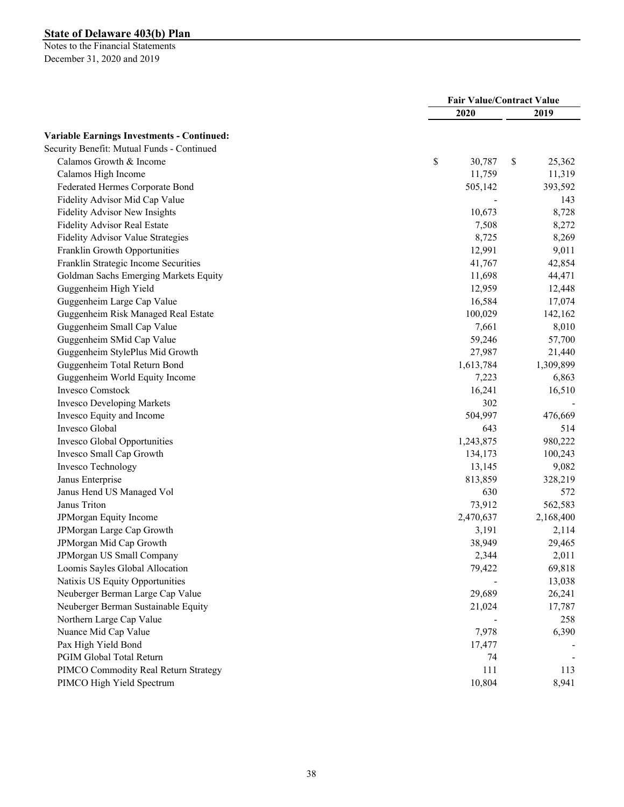|                                                   | <b>Fair Value/Contract Value</b> |              |
|---------------------------------------------------|----------------------------------|--------------|
|                                                   | 2020                             | 2019         |
| <b>Variable Earnings Investments - Continued:</b> |                                  |              |
| Security Benefit: Mutual Funds - Continued        |                                  |              |
| Calamos Growth & Income                           | \$<br>30,787                     | \$<br>25,362 |
| Calamos High Income                               | 11,759                           | 11,319       |
| Federated Hermes Corporate Bond                   | 505,142                          | 393,592      |
| Fidelity Advisor Mid Cap Value                    |                                  | 143          |
| Fidelity Advisor New Insights                     | 10,673                           | 8,728        |
| Fidelity Advisor Real Estate                      | 7,508                            | 8,272        |
| Fidelity Advisor Value Strategies                 | 8,725                            | 8,269        |
| Franklin Growth Opportunities                     | 12,991                           | 9,011        |
| Franklin Strategic Income Securities              | 41,767                           | 42,854       |
| Goldman Sachs Emerging Markets Equity             | 11,698                           | 44,471       |
| Guggenheim High Yield                             | 12,959                           | 12,448       |
| Guggenheim Large Cap Value                        | 16,584                           | 17,074       |
| Guggenheim Risk Managed Real Estate               | 100,029                          | 142,162      |
| Guggenheim Small Cap Value                        | 7,661                            | 8,010        |
| Guggenheim SMid Cap Value                         | 59,246                           | 57,700       |
| Guggenheim StylePlus Mid Growth                   | 27,987                           | 21,440       |
| Guggenheim Total Return Bond                      | 1,613,784                        | 1,309,899    |
| Guggenheim World Equity Income                    | 7,223                            | 6,863        |
| <b>Invesco Comstock</b>                           | 16,241                           | 16,510       |
| <b>Invesco Developing Markets</b>                 | 302                              |              |
| Invesco Equity and Income                         | 504,997                          | 476,669      |
| Invesco Global                                    | 643                              | 514          |
| Invesco Global Opportunities                      | 1,243,875                        | 980,222      |
| Invesco Small Cap Growth                          | 134,173                          | 100,243      |
| Invesco Technology                                | 13,145                           | 9,082        |
| Janus Enterprise                                  | 813,859                          | 328,219      |
| Janus Hend US Managed Vol                         | 630                              | 572          |
| Janus Triton                                      | 73,912                           | 562,583      |
| JPMorgan Equity Income                            | 2,470,637                        | 2,168,400    |
| JPMorgan Large Cap Growth                         | 3,191                            | 2,114        |
| JPMorgan Mid Cap Growth                           | 38,949                           | 29,465       |
| JPMorgan US Small Company                         | 2,344                            | 2,011        |
| Loomis Sayles Global Allocation                   | 79,422                           | 69,818       |
| Natixis US Equity Opportunities                   |                                  | 13,038       |
| Neuberger Berman Large Cap Value                  | 29,689                           | 26,241       |
| Neuberger Berman Sustainable Equity               | 21,024                           | 17,787       |
| Northern Large Cap Value                          |                                  | 258          |
| Nuance Mid Cap Value                              | 7,978                            | 6,390        |
| Pax High Yield Bond                               | 17,477                           |              |
| PGIM Global Total Return                          | 74                               |              |
| PIMCO Commodity Real Return Strategy              | 111                              | 113          |
| PIMCO High Yield Spectrum                         | 10,804                           | 8,941        |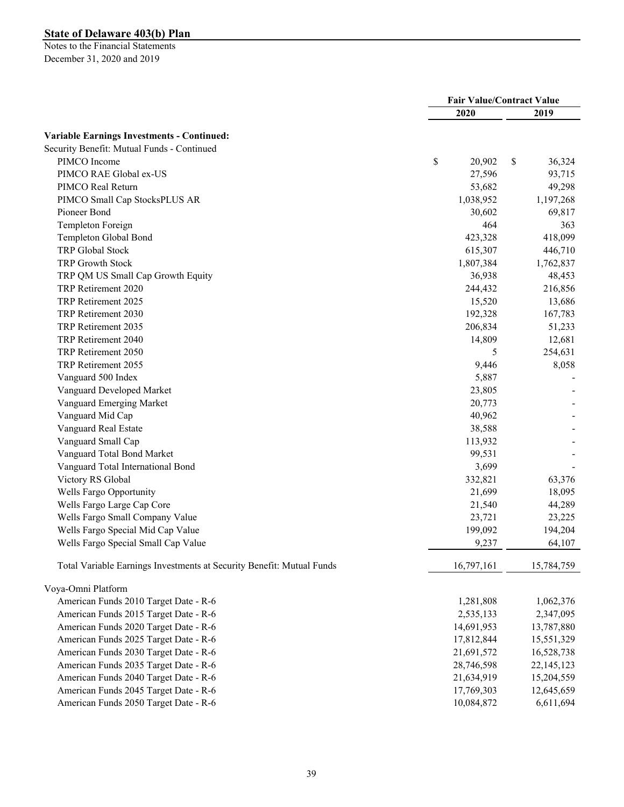|                                                                       | <b>Fair Value/Contract Value</b> |            |    |              |
|-----------------------------------------------------------------------|----------------------------------|------------|----|--------------|
|                                                                       |                                  | 2020       |    | 2019         |
| <b>Variable Earnings Investments - Continued:</b>                     |                                  |            |    |              |
| Security Benefit: Mutual Funds - Continued                            |                                  |            |    |              |
| PIMCO Income                                                          | \$                               | 20,902     | \$ | 36,324       |
| PIMCO RAE Global ex-US                                                |                                  | 27,596     |    | 93,715       |
| PIMCO Real Return                                                     |                                  | 53,682     |    | 49,298       |
| PIMCO Small Cap StocksPLUS AR                                         |                                  | 1,038,952  |    | 1,197,268    |
| Pioneer Bond                                                          |                                  | 30,602     |    | 69,817       |
| Templeton Foreign                                                     |                                  | 464        |    | 363          |
| Templeton Global Bond                                                 |                                  | 423,328    |    | 418,099      |
| TRP Global Stock                                                      |                                  | 615,307    |    | 446,710      |
| <b>TRP Growth Stock</b>                                               |                                  | 1,807,384  |    | 1,762,837    |
| TRP QM US Small Cap Growth Equity                                     |                                  | 36,938     |    | 48,453       |
| TRP Retirement 2020                                                   |                                  | 244,432    |    | 216,856      |
| TRP Retirement 2025                                                   |                                  | 15,520     |    | 13,686       |
| TRP Retirement 2030                                                   |                                  | 192,328    |    | 167,783      |
| TRP Retirement 2035                                                   |                                  | 206,834    |    | 51,233       |
| TRP Retirement 2040                                                   |                                  | 14,809     |    | 12,681       |
| TRP Retirement 2050                                                   |                                  | 5          |    | 254,631      |
| TRP Retirement 2055                                                   |                                  | 9,446      |    | 8,058        |
| Vanguard 500 Index                                                    |                                  | 5,887      |    |              |
| Vanguard Developed Market                                             |                                  | 23,805     |    |              |
| Vanguard Emerging Market                                              |                                  | 20,773     |    |              |
| Vanguard Mid Cap                                                      |                                  | 40,962     |    |              |
| Vanguard Real Estate                                                  |                                  | 38,588     |    |              |
| Vanguard Small Cap                                                    |                                  | 113,932    |    |              |
| Vanguard Total Bond Market                                            |                                  | 99,531     |    |              |
| Vanguard Total International Bond                                     |                                  | 3,699      |    |              |
| Victory RS Global                                                     |                                  | 332,821    |    | 63,376       |
| Wells Fargo Opportunity                                               |                                  | 21,699     |    | 18,095       |
| Wells Fargo Large Cap Core                                            |                                  | 21,540     |    | 44,289       |
| Wells Fargo Small Company Value                                       |                                  | 23,721     |    | 23,225       |
| Wells Fargo Special Mid Cap Value                                     |                                  | 199,092    |    | 194,204      |
| Wells Fargo Special Small Cap Value                                   |                                  | 9,237      |    | 64,107       |
| Total Variable Earnings Investments at Security Benefit: Mutual Funds |                                  | 16,797,161 |    | 15,784,759   |
| Voya-Omni Platform                                                    |                                  |            |    |              |
| American Funds 2010 Target Date - R-6                                 |                                  | 1,281,808  |    | 1,062,376    |
| American Funds 2015 Target Date - R-6                                 |                                  | 2,535,133  |    | 2,347,095    |
| American Funds 2020 Target Date - R-6                                 |                                  | 14,691,953 |    | 13,787,880   |
| American Funds 2025 Target Date - R-6                                 |                                  | 17,812,844 |    | 15,551,329   |
| American Funds 2030 Target Date - R-6                                 |                                  | 21,691,572 |    | 16,528,738   |
| American Funds 2035 Target Date - R-6                                 |                                  | 28,746,598 |    | 22, 145, 123 |
| American Funds 2040 Target Date - R-6                                 |                                  | 21,634,919 |    | 15,204,559   |
| American Funds 2045 Target Date - R-6                                 |                                  | 17,769,303 |    | 12,645,659   |
| American Funds 2050 Target Date - R-6                                 |                                  | 10,084,872 |    | 6,611,694    |
|                                                                       |                                  |            |    |              |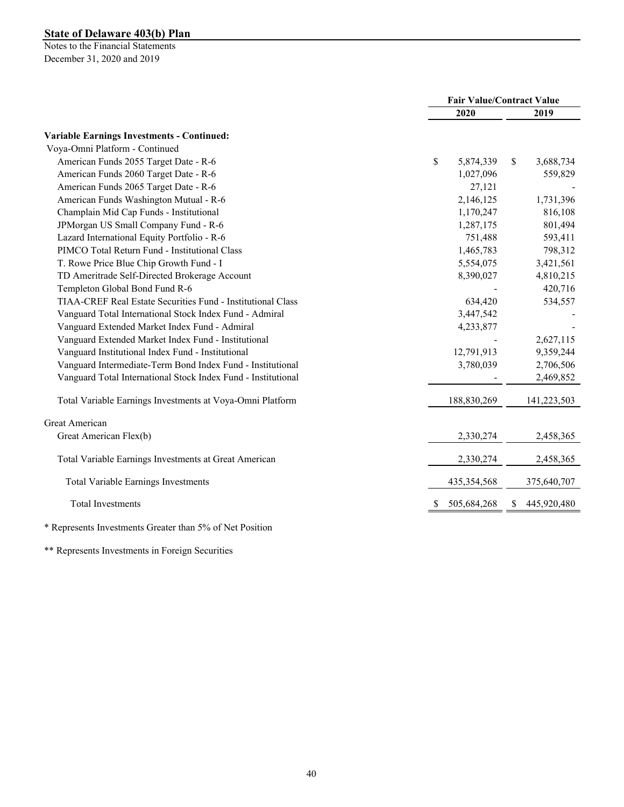Notes to the Financial Statements December 31, 2020 and 2019

|                                                               |                 | <b>Fair Value/Contract Value</b> |  |  |
|---------------------------------------------------------------|-----------------|----------------------------------|--|--|
|                                                               | 2020            | 2019                             |  |  |
| <b>Variable Earnings Investments - Continued:</b>             |                 |                                  |  |  |
| Voya-Omni Platform - Continued                                |                 |                                  |  |  |
| American Funds 2055 Target Date - R-6                         | \$<br>5,874,339 | \$<br>3,688,734                  |  |  |
| American Funds 2060 Target Date - R-6                         | 1,027,096       | 559,829                          |  |  |
| American Funds 2065 Target Date - R-6                         | 27,121          |                                  |  |  |
| American Funds Washington Mutual - R-6                        | 2,146,125       | 1,731,396                        |  |  |
| Champlain Mid Cap Funds - Institutional                       | 1,170,247       | 816,108                          |  |  |
| JPMorgan US Small Company Fund - R-6                          | 1,287,175       | 801,494                          |  |  |
| Lazard International Equity Portfolio - R-6                   | 751,488         | 593,411                          |  |  |
| PIMCO Total Return Fund - Institutional Class                 | 1,465,783       | 798,312                          |  |  |
| T. Rowe Price Blue Chip Growth Fund - I                       | 5,554,075       | 3,421,561                        |  |  |
| TD Ameritrade Self-Directed Brokerage Account                 | 8,390,027       | 4,810,215                        |  |  |
| Templeton Global Bond Fund R-6                                |                 | 420,716                          |  |  |
| TIAA-CREF Real Estate Securities Fund - Institutional Class   | 634,420         | 534,557                          |  |  |
| Vanguard Total International Stock Index Fund - Admiral       | 3,447,542       |                                  |  |  |
| Vanguard Extended Market Index Fund - Admiral                 | 4,233,877       |                                  |  |  |
| Vanguard Extended Market Index Fund - Institutional           |                 | 2,627,115                        |  |  |
| Vanguard Institutional Index Fund - Institutional             | 12,791,913      | 9,359,244                        |  |  |
| Vanguard Intermediate-Term Bond Index Fund - Institutional    | 3,780,039       | 2,706,506                        |  |  |
| Vanguard Total International Stock Index Fund - Institutional |                 | 2,469,852                        |  |  |
| Total Variable Earnings Investments at Voya-Omni Platform     | 188,830,269     | 141,223,503                      |  |  |
| Great American                                                |                 |                                  |  |  |
| Great American Flex(b)                                        | 2,330,274       | 2,458,365                        |  |  |
| Total Variable Earnings Investments at Great American         | 2,330,274       | 2,458,365                        |  |  |
| <b>Total Variable Earnings Investments</b>                    | 435, 354, 568   | 375,640,707                      |  |  |
| <b>Total Investments</b>                                      | 505,684,268     | 445,920,480<br>S                 |  |  |
|                                                               |                 |                                  |  |  |

\* Represents Investments Greater than 5% of Net Position

\*\* Represents Investments in Foreign Securities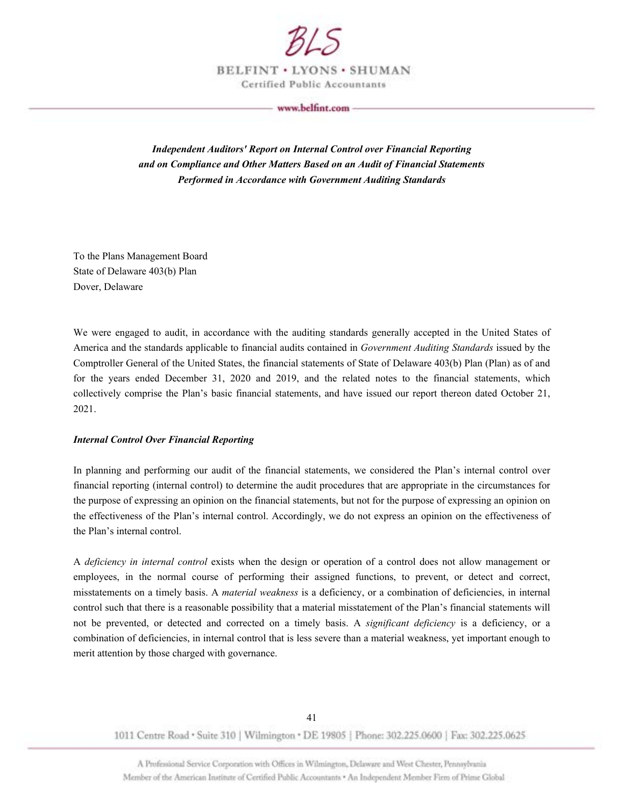

BELFINT . LYONS . SHUMAN Certified Public Accountants

www.belfint.com

*Independent Auditors' Report on Internal Control over Financial Reporting and on Compliance and Other Matters Based on an Audit of Financial Statements Performed in Accordance with Government Auditing Standards* 

To the Plans Management Board State of Delaware 403(b) Plan Dover, Delaware

We were engaged to audit, in accordance with the auditing standards generally accepted in the United States of America and the standards applicable to financial audits contained in *Government Auditing Standards* issued by the Comptroller General of the United States, the financial statements of State of Delaware 403(b) Plan (Plan) as of and for the years ended December 31, 2020 and 2019, and the related notes to the financial statements, which collectively comprise the Plan's basic financial statements, and have issued our report thereon dated October 21, 2021.

#### *Internal Control Over Financial Reporting*

In planning and performing our audit of the financial statements, we considered the Plan's internal control over financial reporting (internal control) to determine the audit procedures that are appropriate in the circumstances for the purpose of expressing an opinion on the financial statements, but not for the purpose of expressing an opinion on the effectiveness of the Plan's internal control. Accordingly, we do not express an opinion on the effectiveness of the Plan's internal control.

A *deficiency in internal control* exists when the design or operation of a control does not allow management or employees, in the normal course of performing their assigned functions, to prevent, or detect and correct, misstatements on a timely basis. A *material weakness* is a deficiency, or a combination of deficiencies, in internal control such that there is a reasonable possibility that a material misstatement of the Plan's financial statements will not be prevented, or detected and corrected on a timely basis. A *significant deficiency* is a deficiency, or a combination of deficiencies, in internal control that is less severe than a material weakness, yet important enough to merit attention by those charged with governance.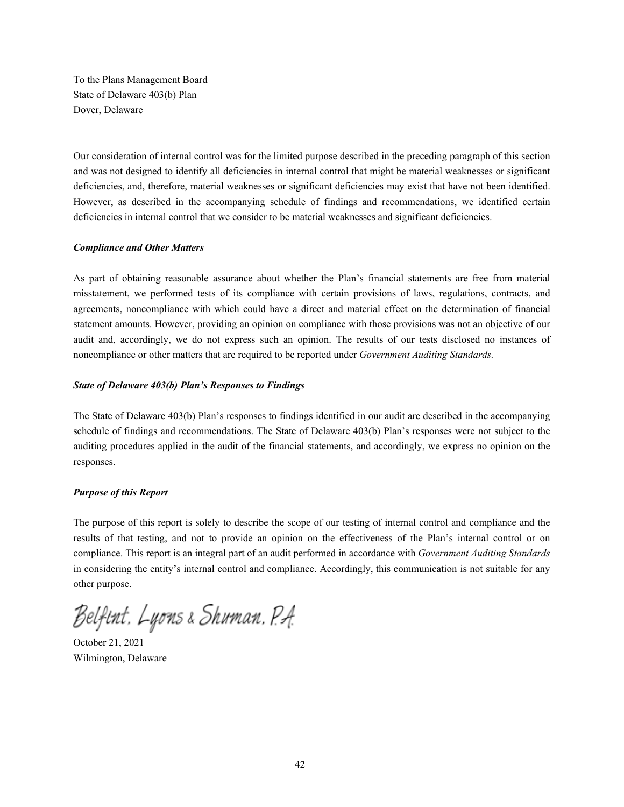To the Plans Management Board State of Delaware 403(b) Plan Dover, Delaware

Our consideration of internal control was for the limited purpose described in the preceding paragraph of this section and was not designed to identify all deficiencies in internal control that might be material weaknesses or significant deficiencies, and, therefore, material weaknesses or significant deficiencies may exist that have not been identified. However, as described in the accompanying schedule of findings and recommendations, we identified certain deficiencies in internal control that we consider to be material weaknesses and significant deficiencies.

#### *Compliance and Other Matters*

As part of obtaining reasonable assurance about whether the Plan's financial statements are free from material misstatement, we performed tests of its compliance with certain provisions of laws, regulations, contracts, and agreements, noncompliance with which could have a direct and material effect on the determination of financial statement amounts. However, providing an opinion on compliance with those provisions was not an objective of our audit and, accordingly, we do not express such an opinion. The results of our tests disclosed no instances of noncompliance or other matters that are required to be reported under *Government Auditing Standards.*

#### *State of Delaware 403(b) Plan's Responses to Findings*

The State of Delaware 403(b) Plan's responses to findings identified in our audit are described in the accompanying schedule of findings and recommendations. The State of Delaware 403(b) Plan's responses were not subject to the auditing procedures applied in the audit of the financial statements, and accordingly, we express no opinion on the responses.

#### *Purpose of this Report*

The purpose of this report is solely to describe the scope of our testing of internal control and compliance and the results of that testing, and not to provide an opinion on the effectiveness of the Plan's internal control or on compliance. This report is an integral part of an audit performed in accordance with *Government Auditing Standards* in considering the entity's internal control and compliance. Accordingly, this communication is not suitable for any other purpose.

Belfint, Lyons & Shuman, P.A.

October 21, 2021 Wilmington, Delaware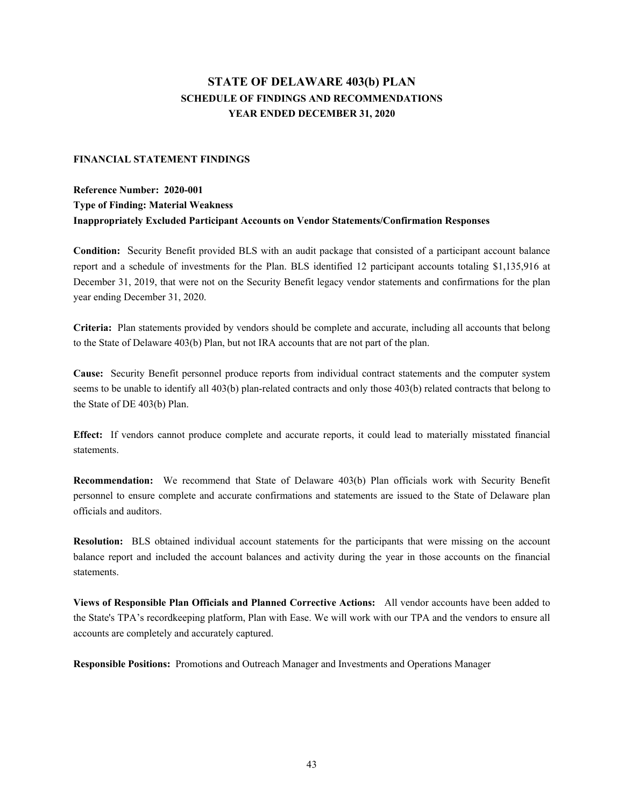## **STATE OF DELAWARE 403(b) PLAN SCHEDULE OF FINDINGS AND RECOMMENDATIONS YEAR ENDED DECEMBER 31, 2020**

#### **FINANCIAL STATEMENT FINDINGS**

## **Reference Number: 2020-001 Type of Finding: Material Weakness Inappropriately Excluded Participant Accounts on Vendor Statements/Confirmation Responses**

**Condition:** Security Benefit provided BLS with an audit package that consisted of a participant account balance report and a schedule of investments for the Plan. BLS identified 12 participant accounts totaling \$1,135,916 at December 31, 2019, that were not on the Security Benefit legacy vendor statements and confirmations for the plan year ending December 31, 2020.

**Criteria:** Plan statements provided by vendors should be complete and accurate, including all accounts that belong to the State of Delaware 403(b) Plan, but not IRA accounts that are not part of the plan.

**Cause:** Security Benefit personnel produce reports from individual contract statements and the computer system seems to be unable to identify all 403(b) plan-related contracts and only those 403(b) related contracts that belong to the State of DE 403(b) Plan.

**Effect:** If vendors cannot produce complete and accurate reports, it could lead to materially misstated financial statements.

**Recommendation:** We recommend that State of Delaware 403(b) Plan officials work with Security Benefit personnel to ensure complete and accurate confirmations and statements are issued to the State of Delaware plan officials and auditors.

**Resolution:** BLS obtained individual account statements for the participants that were missing on the account balance report and included the account balances and activity during the year in those accounts on the financial statements.

**Views of Responsible Plan Officials and Planned Corrective Actions:** All vendor accounts have been added to the State's TPA's recordkeeping platform, Plan with Ease. We will work with our TPA and the vendors to ensure all accounts are completely and accurately captured.

**Responsible Positions:** Promotions and Outreach Manager and Investments and Operations Manager